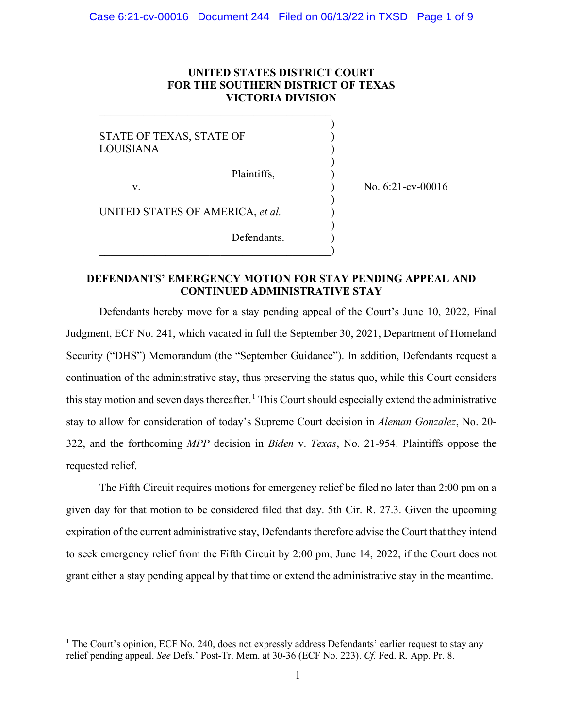# **UNITED STATES DISTRICT COURT FOR THE SOUTHERN DISTRICT OF TEXAS VICTORIA DIVISION**

 $)$ STATE OF TEXAS, STATE OF  $\qquad \qquad$ **LOUISIANA**  $)$  Plaintiffs, ) v.  $\qquad \qquad$  No. 6:21-cv-00016  $)$ UNITED STATES OF AMERICA, et al.  $)$ 

 $\hspace{.5em}$   $\hspace{.5em}$   $\hspace{.5em}$   $\hspace{.5em}$   $\hspace{.5em}$   $\hspace{.5em}$   $\hspace{.5em}$   $\hspace{.5em}$   $\hspace{.5em}$   $\hspace{.5em}$   $\hspace{.5em}$   $\hspace{.5em}$   $\hspace{.5em}$   $\hspace{.5em}$   $\hspace{.5em}$   $\hspace{.5em}$   $\hspace{.5em}$   $\hspace{.5em}$   $\hspace{.5em}$   $\hspace{.5em}$ 

 $\overline{\mathcal{L}}$  , and the contribution of the contribution of  $\overline{\mathcal{L}}$ 

**DEFENDANTS' EMERGENCY MOTION FOR STAY PENDING APPEAL AND CONTINUED ADMINISTRATIVE STAY**

Defendants.

Defendants hereby move for a stay pending appeal of the Court's June 10, 2022, Final Judgment, ECF No. 241, which vacated in full the September 30, 2021, Department of Homeland Security ("DHS") Memorandum (the "September Guidance"). In addition, Defendants request a continuation of the administrative stay, thus preserving the status quo, while this Court considers this stay motion and seven days thereafter.<sup>1</sup> This Court should especially extend the administrative stay to allow for consideration of today's Supreme Court decision in *Aleman Gonzalez*, No. 20- 322, and the forthcoming *MPP* decision in *Biden* v. *Texas*, No. 21-954. Plaintiffs oppose the requested relief.

The Fifth Circuit requires motions for emergency relief be filed no later than 2:00 pm on a given day for that motion to be considered filed that day. 5th Cir. R. 27.3. Given the upcoming expiration of the current administrative stay, Defendants therefore advise the Court that they intend to seek emergency relief from the Fifth Circuit by 2:00 pm, June 14, 2022, if the Court does not grant either a stay pending appeal by that time or extend the administrative stay in the meantime.

<sup>&</sup>lt;sup>1</sup> The Court's opinion, ECF No. 240, does not expressly address Defendants' earlier request to stay any relief pending appeal. *See* Defs.' Post-Tr. Mem. at 30-36 (ECF No. 223). *Cf.* Fed. R. App. Pr. 8.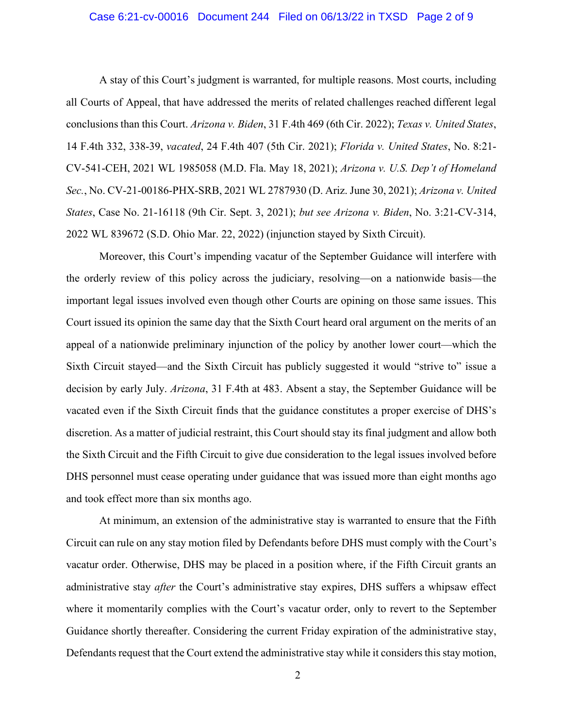### Case 6:21-cv-00016 Document 244 Filed on 06/13/22 in TXSD Page 2 of 9

A stay of this Court's judgment is warranted, for multiple reasons. Most courts, including all Courts of Appeal, that have addressed the merits of related challenges reached different legal conclusions than this Court. *Arizona v. Biden*, 31 F.4th 469 (6th Cir. 2022); *Texas v. United States*, 14 F.4th 332, 338-39, *vacated*, 24 F.4th 407 (5th Cir. 2021); *Florida v. United States*, No. 8:21- CV-541-CEH, 2021 WL 1985058 (M.D. Fla. May 18, 2021); *Arizona v. U.S. Dep't of Homeland Sec.*, No. CV-21-00186-PHX-SRB, 2021 WL 2787930 (D. Ariz. June 30, 2021); *Arizona v. United States*, Case No. 21-16118 (9th Cir. Sept. 3, 2021); *but see Arizona v. Biden*, No. 3:21-CV-314, 2022 WL 839672 (S.D. Ohio Mar. 22, 2022) (injunction stayed by Sixth Circuit).

Moreover, this Court's impending vacatur of the September Guidance will interfere with the orderly review of this policy across the judiciary, resolving—on a nationwide basis—the important legal issues involved even though other Courts are opining on those same issues. This Court issued its opinion the same day that the Sixth Court heard oral argument on the merits of an appeal of a nationwide preliminary injunction of the policy by another lower court—which the Sixth Circuit stayed—and the Sixth Circuit has publicly suggested it would "strive to" issue a decision by early July. *Arizona*, 31 F.4th at 483. Absent a stay, the September Guidance will be vacated even if the Sixth Circuit finds that the guidance constitutes a proper exercise of DHS's discretion. As a matter of judicial restraint, this Court should stay its final judgment and allow both the Sixth Circuit and the Fifth Circuit to give due consideration to the legal issues involved before DHS personnel must cease operating under guidance that was issued more than eight months ago and took effect more than six months ago.

At minimum, an extension of the administrative stay is warranted to ensure that the Fifth Circuit can rule on any stay motion filed by Defendants before DHS must comply with the Court's vacatur order. Otherwise, DHS may be placed in a position where, if the Fifth Circuit grants an administrative stay *after* the Court's administrative stay expires, DHS suffers a whipsaw effect where it momentarily complies with the Court's vacatur order, only to revert to the September Guidance shortly thereafter. Considering the current Friday expiration of the administrative stay, Defendants request that the Court extend the administrative stay while it considers this stay motion,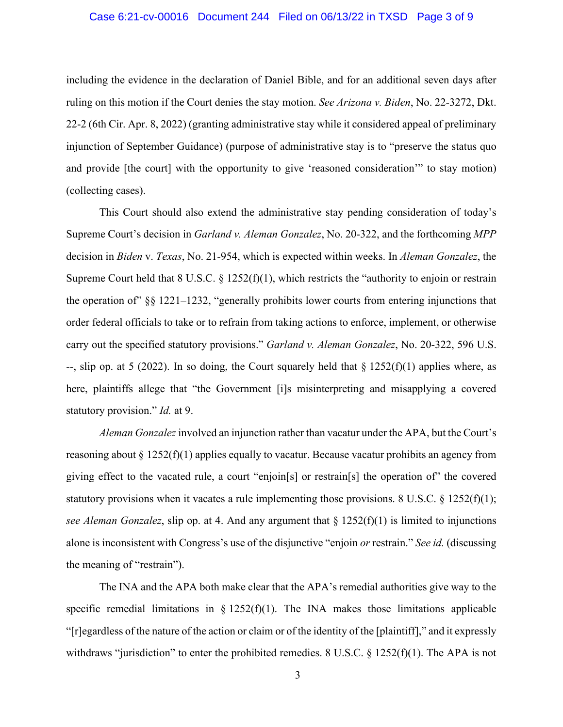### Case 6:21-cv-00016 Document 244 Filed on 06/13/22 in TXSD Page 3 of 9

including the evidence in the declaration of Daniel Bible, and for an additional seven days after ruling on this motion if the Court denies the stay motion. *See Arizona v. Biden*, No. 22-3272, Dkt. 22-2 (6th Cir. Apr. 8, 2022) (granting administrative stay while it considered appeal of preliminary injunction of September Guidance) (purpose of administrative stay is to "preserve the status quo and provide [the court] with the opportunity to give 'reasoned consideration'" to stay motion) (collecting cases).

This Court should also extend the administrative stay pending consideration of today's Supreme Court's decision in *Garland v. Aleman Gonzalez*, No. 20-322, and the forthcoming *MPP* decision in *Biden* v. *Texas*, No. 21-954, which is expected within weeks. In *Aleman Gonzalez*, the Supreme Court held that  $8 \text{ U.S.C.} \$   $\frac{1252(f)(1)}{2}$ , which restricts the "authority to enjoin or restrain the operation of" §§ 1221–1232, "generally prohibits lower courts from entering injunctions that order federal officials to take or to refrain from taking actions to enforce, implement, or otherwise carry out the specified statutory provisions." *Garland v. Aleman Gonzalez*, No. 20-322, 596 U.S. --, slip op. at 5 (2022). In so doing, the Court squarely held that  $\S 1252(f)(1)$  applies where, as here, plaintiffs allege that "the Government [i]s misinterpreting and misapplying a covered statutory provision." *Id.* at 9.

*Aleman Gonzalez* involved an injunction rather than vacatur under the APA, but the Court's reasoning about  $\S 1252(f)(1)$  applies equally to vacatur. Because vacatur prohibits an agency from giving effect to the vacated rule, a court "enjoin[s] or restrain[s] the operation of" the covered statutory provisions when it vacates a rule implementing those provisions. 8 U.S.C.  $\S$  1252(f)(1); *see Aleman Gonzalez*, slip op. at 4. And any argument that  $\S 1252(f)(1)$  is limited to injunctions alone is inconsistent with Congress's use of the disjunctive "enjoin *or* restrain." *See id.* (discussing the meaning of "restrain").

The INA and the APA both make clear that the APA's remedial authorities give way to the specific remedial limitations in  $\S$  1252(f)(1). The INA makes those limitations applicable "[r]egardless of the nature of the action or claim or of the identity of the [plaintiff]," and it expressly withdraws "jurisdiction" to enter the prohibited remedies. 8 U.S.C. § 1252(f)(1). The APA is not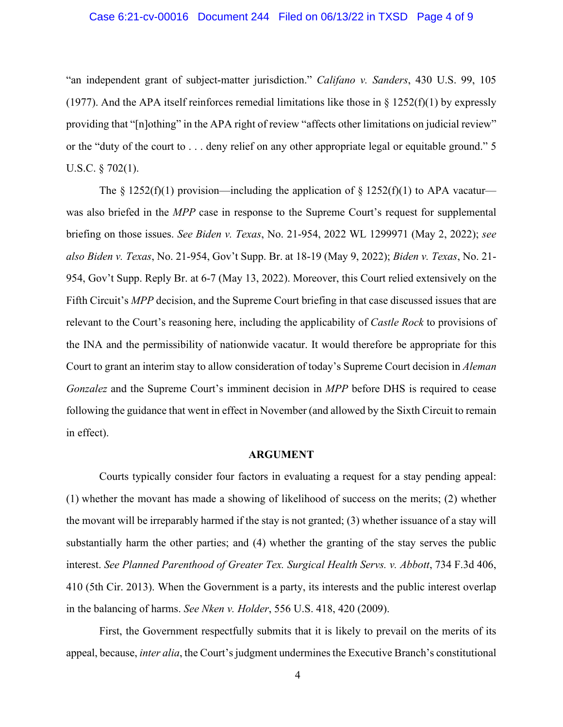"an independent grant of subject-matter jurisdiction." *Califano v. Sanders*, 430 U.S. 99, 105 (1977). And the APA itself reinforces remedial limitations like those in  $\S$  1252(f)(1) by expressly providing that "[n]othing" in the APA right of review "affects other limitations on judicial review" or the "duty of the court to . . . deny relief on any other appropriate legal or equitable ground." 5 U.S.C. § 702(1).

The  $\S 1252(f)(1)$  provision—including the application of  $\S 1252(f)(1)$  to APA vacatur was also briefed in the *MPP* case in response to the Supreme Court's request for supplemental briefing on those issues. *See Biden v. Texas*, No. 21-954, 2022 WL 1299971 (May 2, 2022); *see also Biden v. Texas*, No. 21-954, Gov't Supp. Br. at 18-19 (May 9, 2022); *Biden v. Texas*, No. 21- 954, Gov't Supp. Reply Br. at 6-7 (May 13, 2022). Moreover, this Court relied extensively on the Fifth Circuit's *MPP* decision, and the Supreme Court briefing in that case discussed issues that are relevant to the Court's reasoning here, including the applicability of *Castle Rock* to provisions of the INA and the permissibility of nationwide vacatur. It would therefore be appropriate for this Court to grant an interim stay to allow consideration of today's Supreme Court decision in *Aleman Gonzalez* and the Supreme Court's imminent decision in *MPP* before DHS is required to cease following the guidance that went in effect in November (and allowed by the Sixth Circuit to remain in effect).

### **ARGUMENT**

Courts typically consider four factors in evaluating a request for a stay pending appeal: (1) whether the movant has made a showing of likelihood of success on the merits; (2) whether the movant will be irreparably harmed if the stay is not granted; (3) whether issuance of a stay will substantially harm the other parties; and (4) whether the granting of the stay serves the public interest. *See Planned Parenthood of Greater Tex. Surgical Health Servs. v. Abbott*, 734 F.3d 406, 410 (5th Cir. 2013). When the Government is a party, its interests and the public interest overlap in the balancing of harms. *See Nken v. Holder*, 556 U.S. 418, 420 (2009).

First, the Government respectfully submits that it is likely to prevail on the merits of its appeal, because, *inter alia*, the Court's judgment undermines the Executive Branch's constitutional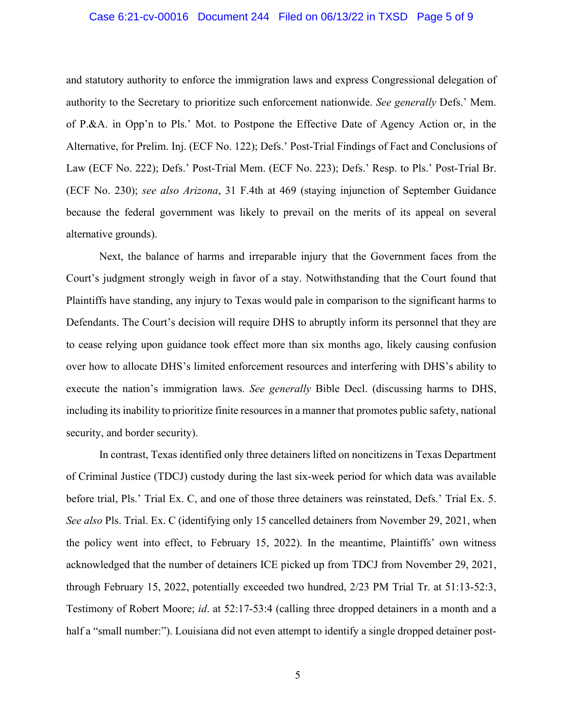### Case 6:21-cv-00016 Document 244 Filed on 06/13/22 in TXSD Page 5 of 9

and statutory authority to enforce the immigration laws and express Congressional delegation of authority to the Secretary to prioritize such enforcement nationwide. *See generally* Defs.' Mem. of P.&A. in Opp'n to Pls.' Mot. to Postpone the Effective Date of Agency Action or, in the Alternative, for Prelim. Inj. (ECF No. 122); Defs.' Post-Trial Findings of Fact and Conclusions of Law (ECF No. 222); Defs.' Post-Trial Mem. (ECF No. 223); Defs.' Resp. to Pls.' Post-Trial Br. (ECF No. 230); *see also Arizona*, 31 F.4th at 469 (staying injunction of September Guidance because the federal government was likely to prevail on the merits of its appeal on several alternative grounds).

Next, the balance of harms and irreparable injury that the Government faces from the Court's judgment strongly weigh in favor of a stay. Notwithstanding that the Court found that Plaintiffs have standing, any injury to Texas would pale in comparison to the significant harms to Defendants. The Court's decision will require DHS to abruptly inform its personnel that they are to cease relying upon guidance took effect more than six months ago, likely causing confusion over how to allocate DHS's limited enforcement resources and interfering with DHS's ability to execute the nation's immigration laws. *See generally* Bible Decl. (discussing harms to DHS, including its inability to prioritize finite resources in a manner that promotes public safety, national security, and border security).

In contrast, Texas identified only three detainers lifted on noncitizens in Texas Department of Criminal Justice (TDCJ) custody during the last six-week period for which data was available before trial, Pls.' Trial Ex. C, and one of those three detainers was reinstated, Defs.' Trial Ex. 5. *See also* Pls. Trial. Ex. C (identifying only 15 cancelled detainers from November 29, 2021, when the policy went into effect, to February 15, 2022). In the meantime, Plaintiffs' own witness acknowledged that the number of detainers ICE picked up from TDCJ from November 29, 2021, through February 15, 2022, potentially exceeded two hundred, 2/23 PM Trial Tr. at 51:13-52:3, Testimony of Robert Moore; *id*. at 52:17-53:4 (calling three dropped detainers in a month and a half a "small number:"). Louisiana did not even attempt to identify a single dropped detainer post-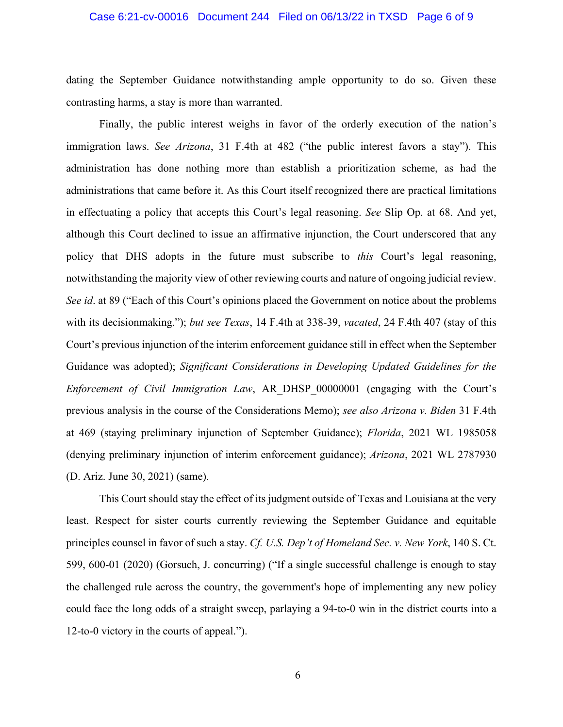### Case 6:21-cv-00016 Document 244 Filed on 06/13/22 in TXSD Page 6 of 9

dating the September Guidance notwithstanding ample opportunity to do so. Given these contrasting harms, a stay is more than warranted.

Finally, the public interest weighs in favor of the orderly execution of the nation's immigration laws. *See Arizona*, 31 F.4th at 482 ("the public interest favors a stay"). This administration has done nothing more than establish a prioritization scheme, as had the administrations that came before it. As this Court itself recognized there are practical limitations in effectuating a policy that accepts this Court's legal reasoning. *See* Slip Op. at 68. And yet, although this Court declined to issue an affirmative injunction, the Court underscored that any policy that DHS adopts in the future must subscribe to *this* Court's legal reasoning, notwithstanding the majority view of other reviewing courts and nature of ongoing judicial review. *See id*. at 89 ("Each of this Court's opinions placed the Government on notice about the problems with its decisionmaking."); *but see Texas*, 14 F.4th at 338-39, *vacated*, 24 F.4th 407 (stay of this Court's previous injunction of the interim enforcement guidance still in effect when the September Guidance was adopted); *Significant Considerations in Developing Updated Guidelines for the Enforcement of Civil Immigration Law*, AR\_DHSP\_00000001 (engaging with the Court's previous analysis in the course of the Considerations Memo); *see also Arizona v. Biden* 31 F.4th at 469 (staying preliminary injunction of September Guidance); *Florida*, 2021 WL 1985058 (denying preliminary injunction of interim enforcement guidance); *Arizona*, 2021 WL 2787930 (D. Ariz. June 30, 2021) (same).

This Court should stay the effect of its judgment outside of Texas and Louisiana at the very least. Respect for sister courts currently reviewing the September Guidance and equitable principles counsel in favor of such a stay. *Cf. U.S. Dep't of Homeland Sec. v. New York*, 140 S. Ct. 599, 600-01 (2020) (Gorsuch, J. concurring) ("If a single successful challenge is enough to stay the challenged rule across the country, the government's hope of implementing any new policy could face the long odds of a straight sweep, parlaying a 94-to-0 win in the district courts into a 12-to-0 victory in the courts of appeal.").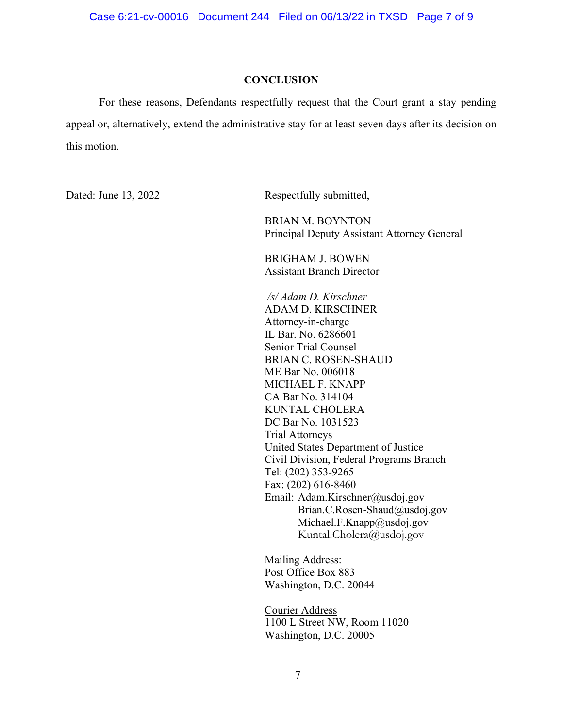### **CONCLUSION**

For these reasons, Defendants respectfully request that the Court grant a stay pending appeal or, alternatively, extend the administrative stay for at least seven days after its decision on this motion.

Dated: June 13, 2022 Respectfully submitted,

 BRIAN M. BOYNTON Principal Deputy Assistant Attorney General

BRIGHAM J. BOWEN Assistant Branch Director

*/s/ Adam D. Kirschner*  ADAM D. KIRSCHNER Attorney-in-charge IL Bar. No. 6286601 Senior Trial Counsel BRIAN C. ROSEN-SHAUD ME Bar No. 006018 MICHAEL F. KNAPP CA Bar No. 314104 KUNTAL CHOLERA DC Bar No. 1031523 Trial Attorneys United States Department of Justice Civil Division, Federal Programs Branch Tel: (202) 353-9265 Fax: (202) 616-8460 Email: Adam.Kirschner@usdoj.gov Brian.C.Rosen-Shaud@usdoj.gov Michael.F.Knapp@usdoj.gov Kuntal.Cholera@usdoj.gov

Mailing Address: Post Office Box 883 Washington, D.C. 20044

Courier Address 1100 L Street NW, Room 11020 Washington, D.C. 20005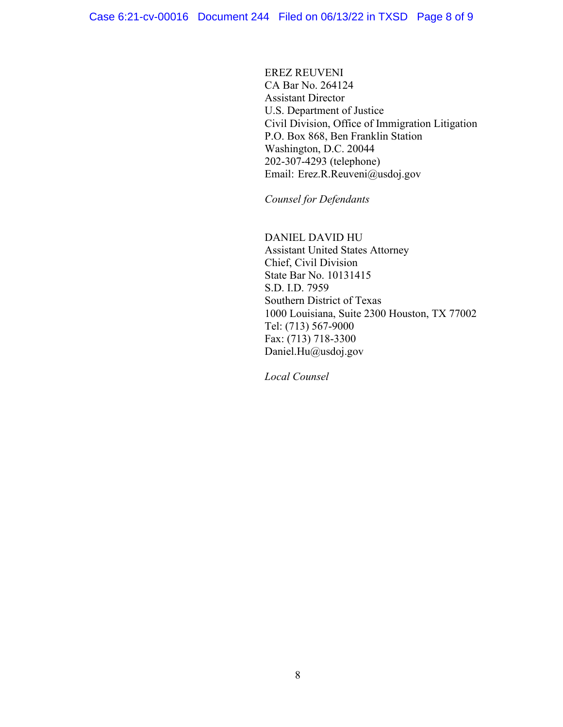EREZ REUVENI CA Bar No. 264124 Assistant Director U.S. Department of Justice Civil Division, Office of Immigration Litigation P.O. Box 868, Ben Franklin Station Washington, D.C. 20044 202-307-4293 (telephone) Email: Erez.R.Reuveni@usdoj.gov

*Counsel for Defendants* 

 DANIEL DAVID HU Assistant United States Attorney Chief, Civil Division State Bar No. 10131415 S.D. I.D. 7959 Southern District of Texas 1000 Louisiana, Suite 2300 Houston, TX 77002 Tel: (713) 567-9000 Fax: (713) 718-3300 Daniel.Hu@usdoj.gov

*Local Counsel*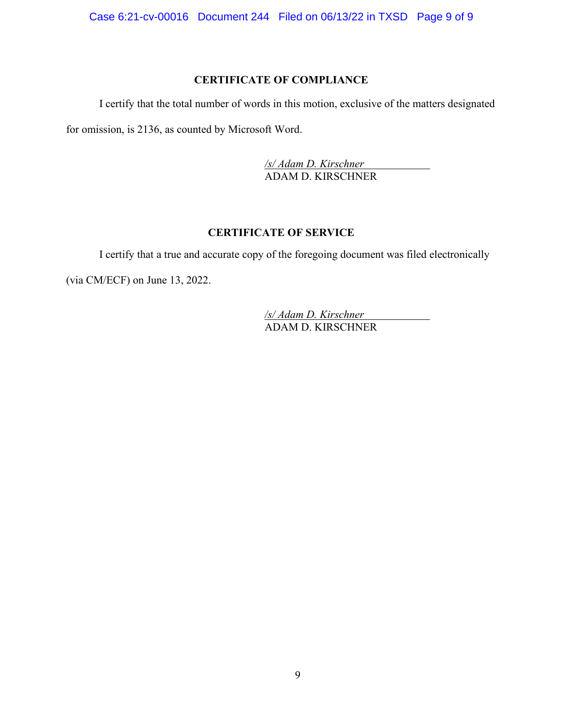Case 6:21-cv-00016 Document 244 Filed on 06/13/22 in TXSD Page 9 of 9

### **CERTIFICATE OF COMPLIANCE**

I certify that the total number of words in this motion, exclusive of the matters designated for omission, is 2136, as counted by Microsoft Word.

> */s/ Adam D. Kirschner*  ADAM D. KIRSCHNER

# **CERTIFICATE OF SERVICE**

I certify that a true and accurate copy of the foregoing document was filed electronically (via CM/ECF) on June 13, 2022.

> */s/ Adam D. Kirschner*  ADAM D. KIRSCHNER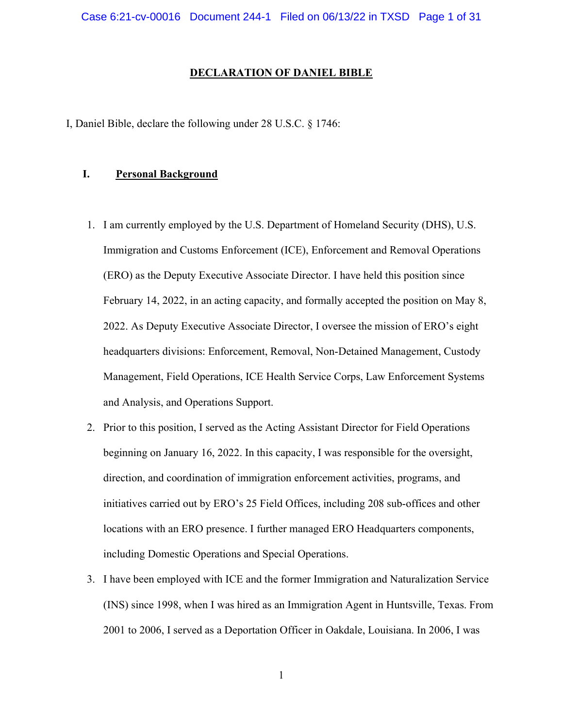#### DECLARATION OF DANIEL BIBLE

I, Daniel Bible, declare the following under 28 U.S.C. § 1746:

### I. Personal Background

- 1. I am currently employed by the U.S. Department of Homeland Security (DHS), U.S. Immigration and Customs Enforcement (ICE), Enforcement and Removal Operations (ERO) as the Deputy Executive Associate Director. I have held this position since February 14, 2022, in an acting capacity, and formally accepted the position on May 8, 2022. As Deputy Executive Associate Director, I oversee the mission of ERO's eight headquarters divisions: Enforcement, Removal, Non-Detained Management, Custody Management, Field Operations, ICE Health Service Corps, Law Enforcement Systems and Analysis, and Operations Support.
- 2. Prior to this position, I served as the Acting Assistant Director for Field Operations beginning on January 16, 2022. In this capacity, I was responsible for the oversight, direction, and coordination of immigration enforcement activities, programs, and initiatives carried out by ERO's 25 Field Offices, including 208 sub-offices and other locations with an ERO presence. I further managed ERO Headquarters components, including Domestic Operations and Special Operations.
- 3. I have been employed with ICE and the former Immigration and Naturalization Service (INS) since 1998, when I was hired as an Immigration Agent in Huntsville, Texas. From 2001 to 2006, I served as a Deportation Officer in Oakdale, Louisiana. In 2006, I was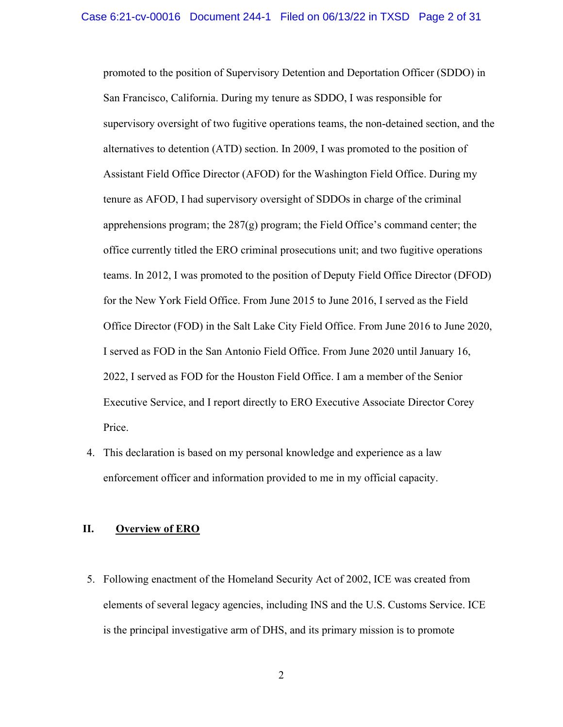promoted to the position of Supervisory Detention and Deportation Officer (SDDO) in San Francisco, California. During my tenure as SDDO, I was responsible for supervisory oversight of two fugitive operations teams, the non-detained section, and the alternatives to detention (ATD) section. In 2009, I was promoted to the position of Assistant Field Office Director (AFOD) for the Washington Field Office. During my tenure as AFOD, I had supervisory oversight of SDDOs in charge of the criminal apprehensions program; the  $287(g)$  program; the Field Office's command center; the office currently titled the ERO criminal prosecutions unit; and two fugitive operations teams. In 2012, I was promoted to the position of Deputy Field Office Director (DFOD) for the New York Field Office. From June 2015 to June 2016, I served as the Field Office Director (FOD) in the Salt Lake City Field Office. From June 2016 to June 2020, I served as FOD in the San Antonio Field Office. From June 2020 until January 16, 2022, I served as FOD for the Houston Field Office. I am a member of the Senior Executive Service, and I report directly to ERO Executive Associate Director Corey Price.

4. This declaration is based on my personal knowledge and experience as a law enforcement officer and information provided to me in my official capacity.

### II. Overview of ERO

5. Following enactment of the Homeland Security Act of 2002, ICE was created from elements of several legacy agencies, including INS and the U.S. Customs Service. ICE is the principal investigative arm of DHS, and its primary mission is to promote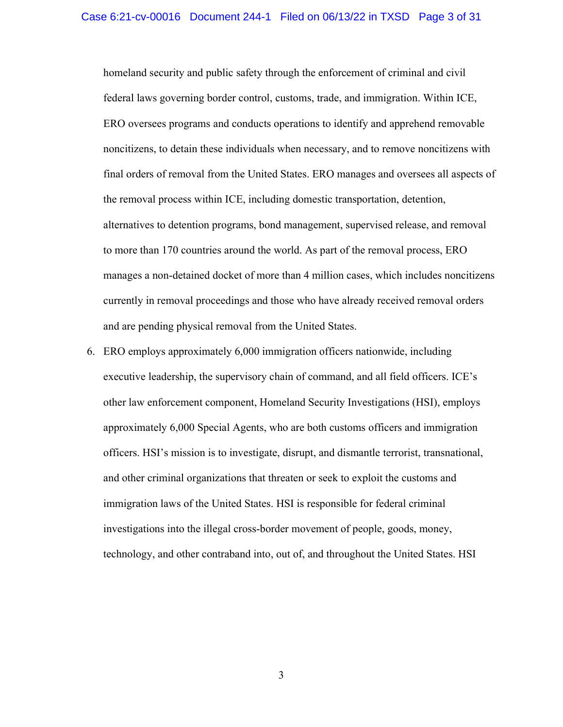homeland security and public safety through the enforcement of criminal and civil federal laws governing border control, customs, trade, and immigration. Within ICE, ERO oversees programs and conducts operations to identify and apprehend removable noncitizens, to detain these individuals when necessary, and to remove noncitizens with final orders of removal from the United States. ERO manages and oversees all aspects of the removal process within ICE, including domestic transportation, detention, alternatives to detention programs, bond management, supervised release, and removal to more than 170 countries around the world. As part of the removal process, ERO manages a non-detained docket of more than 4 million cases, which includes noncitizens currently in removal proceedings and those who have already received removal orders and are pending physical removal from the United States.

6. ERO employs approximately 6,000 immigration officers nationwide, including executive leadership, the supervisory chain of command, and all field officers. ICE's other law enforcement component, Homeland Security Investigations (HSI), employs approximately 6,000 Special Agents, who are both customs officers and immigration officers. HSI's mission is to investigate, disrupt, and dismantle terrorist, transnational, and other criminal organizations that threaten or seek to exploit the customs and immigration laws of the United States. HSI is responsible for federal criminal investigations into the illegal cross-border movement of people, goods, money, technology, and other contraband into, out of, and throughout the United States. HSI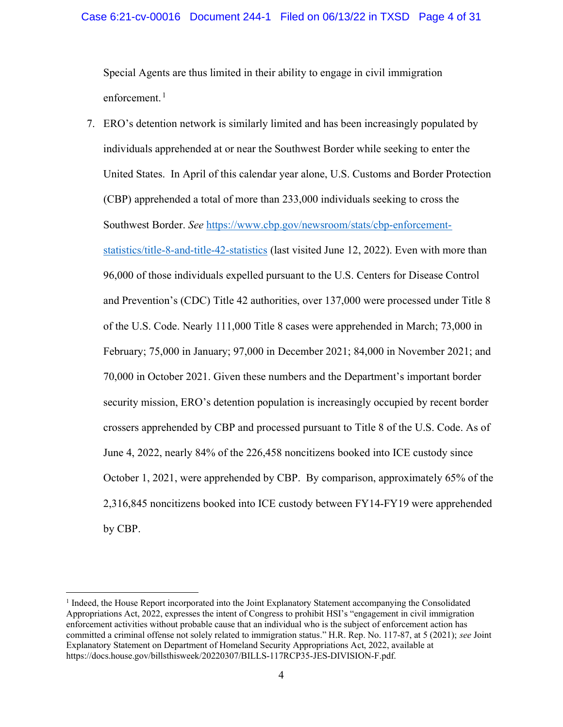### Case 6:21-cv-00016 Document 244-1 Filed on 06/13/22 in TXSD Page 4 of 31

Special Agents are thus limited in their ability to engage in civil immigration enforcement.<sup>1</sup>

7. ERO's detention network is similarly limited and has been increasingly populated by individuals apprehended at or near the Southwest Border while seeking to enter the United States. In April of this calendar year alone, U.S. Customs and Border Protection (CBP) apprehended a total of more than 233,000 individuals seeking to cross the Southwest Border. See https://www.cbp.gov/newsroom/stats/cbp-enforcementstatistics/title-8-and-title-42-statistics (last visited June 12, 2022). Even with more than 96,000 of those individuals expelled pursuant to the U.S. Centers for Disease Control and Prevention's (CDC) Title 42 authorities, over 137,000 were processed under Title 8 of the U.S. Code. Nearly 111,000 Title 8 cases were apprehended in March; 73,000 in February; 75,000 in January; 97,000 in December 2021; 84,000 in November 2021; and 70,000 in October 2021. Given these numbers and the Department's important border security mission, ERO's detention population is increasingly occupied by recent border crossers apprehended by CBP and processed pursuant to Title 8 of the U.S. Code. As of June 4, 2022, nearly 84% of the 226,458 noncitizens booked into ICE custody since October 1, 2021, were apprehended by CBP. By comparison, approximately 65% of the 2,316,845 noncitizens booked into ICE custody between FY14-FY19 were apprehended by CBP.

<sup>&</sup>lt;sup>1</sup> Indeed, the House Report incorporated into the Joint Explanatory Statement accompanying the Consolidated Appropriations Act, 2022, expresses the intent of Congress to prohibit HSI's "engagement in civil immigration enforcement activities without probable cause that an individual who is the subject of enforcement action has committed a criminal offense not solely related to immigration status." H.R. Rep. No. 117-87, at 5 (2021); see Joint Explanatory Statement on Department of Homeland Security Appropriations Act, 2022, available at https://docs.house.gov/billsthisweek/20220307/BILLS-117RCP35-JES-DIVISION-F.pdf.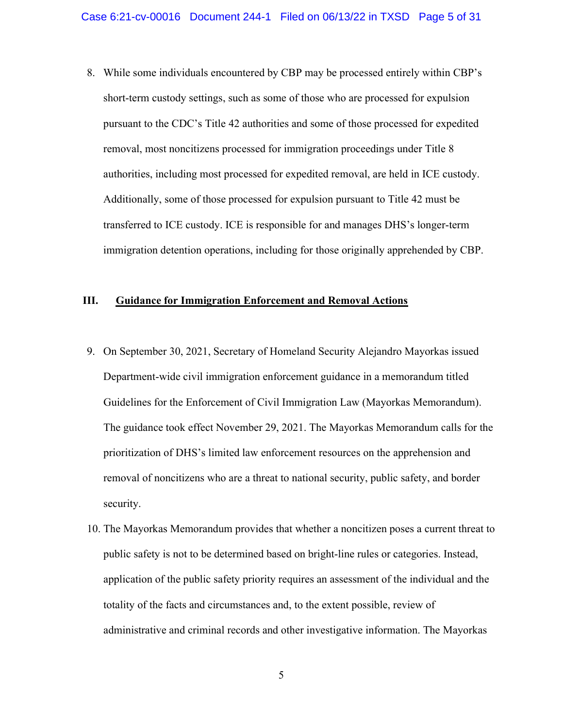8. While some individuals encountered by CBP may be processed entirely within CBP's short-term custody settings, such as some of those who are processed for expulsion pursuant to the CDC's Title 42 authorities and some of those processed for expedited removal, most noncitizens processed for immigration proceedings under Title 8 authorities, including most processed for expedited removal, are held in ICE custody. Additionally, some of those processed for expulsion pursuant to Title 42 must be transferred to ICE custody. ICE is responsible for and manages DHS's longer-term immigration detention operations, including for those originally apprehended by CBP.

# III. Guidance for Immigration Enforcement and Removal Actions

- 9. On September 30, 2021, Secretary of Homeland Security Alejandro Mayorkas issued Department-wide civil immigration enforcement guidance in a memorandum titled Guidelines for the Enforcement of Civil Immigration Law (Mayorkas Memorandum). The guidance took effect November 29, 2021. The Mayorkas Memorandum calls for the prioritization of DHS's limited law enforcement resources on the apprehension and removal of noncitizens who are a threat to national security, public safety, and border security.
- 10. The Mayorkas Memorandum provides that whether a noncitizen poses a current threat to public safety is not to be determined based on bright-line rules or categories. Instead, application of the public safety priority requires an assessment of the individual and the totality of the facts and circumstances and, to the extent possible, review of administrative and criminal records and other investigative information. The Mayorkas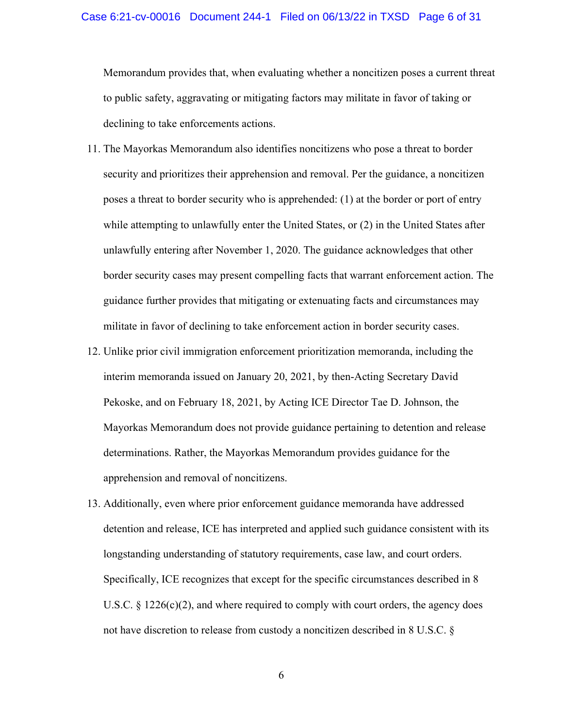Memorandum provides that, when evaluating whether a noncitizen poses a current threat to public safety, aggravating or mitigating factors may militate in favor of taking or declining to take enforcements actions.

- 11. The Mayorkas Memorandum also identifies noncitizens who pose a threat to border security and prioritizes their apprehension and removal. Per the guidance, a noncitizen poses a threat to border security who is apprehended: (1) at the border or port of entry while attempting to unlawfully enter the United States, or (2) in the United States after unlawfully entering after November 1, 2020. The guidance acknowledges that other border security cases may present compelling facts that warrant enforcement action. The guidance further provides that mitigating or extenuating facts and circumstances may militate in favor of declining to take enforcement action in border security cases.
- 12. Unlike prior civil immigration enforcement prioritization memoranda, including the interim memoranda issued on January 20, 2021, by then-Acting Secretary David Pekoske, and on February 18, 2021, by Acting ICE Director Tae D. Johnson, the Mayorkas Memorandum does not provide guidance pertaining to detention and release determinations. Rather, the Mayorkas Memorandum provides guidance for the apprehension and removal of noncitizens.
- 13. Additionally, even where prior enforcement guidance memoranda have addressed detention and release, ICE has interpreted and applied such guidance consistent with its longstanding understanding of statutory requirements, case law, and court orders. Specifically, ICE recognizes that except for the specific circumstances described in 8 U.S.C.  $\S 1226(c)(2)$ , and where required to comply with court orders, the agency does not have discretion to release from custody a noncitizen described in 8 U.S.C. §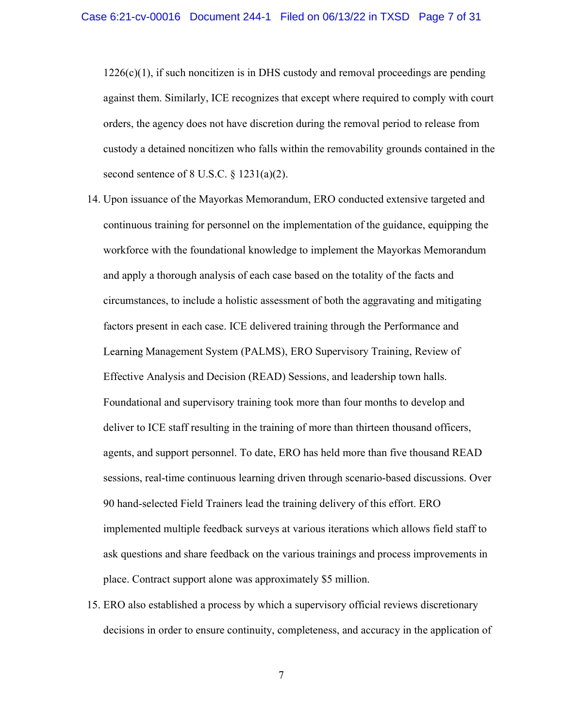$1226(c)(1)$ , if such noncitizen is in DHS custody and removal proceedings are pending against them. Similarly, ICE recognizes that except where required to comply with court orders, the agency does not have discretion during the removal period to release from custody a detained noncitizen who falls within the removability grounds contained in the second sentence of 8 U.S.C.  $\S$  1231(a)(2).

- 14. Upon issuance of the Mayorkas Memorandum, ERO conducted extensive targeted and continuous training for personnel on the implementation of the guidance, equipping the workforce with the foundational knowledge to implement the Mayorkas Memorandum and apply a thorough analysis of each case based on the totality of the facts and circumstances, to include a holistic assessment of both the aggravating and mitigating factors present in each case. ICE delivered training through the Performance and Learning Management System (PALMS), ERO Supervisory Training, Review of Effective Analysis and Decision (READ) Sessions, and leadership town halls. Foundational and supervisory training took more than four months to develop and deliver to ICE staff resulting in the training of more than thirteen thousand officers, agents, and support personnel. To date, ERO has held more than five thousand READ sessions, real-time continuous learning driven through scenario-based discussions. Over 90 hand-selected Field Trainers lead the training delivery of this effort. ERO implemented multiple feedback surveys at various iterations which allows field staff to ask questions and share feedback on the various trainings and process improvements in place. Contract support alone was approximately \$5 million.
- 15. ERO also established a process by which a supervisory official reviews discretionary decisions in order to ensure continuity, completeness, and accuracy in the application of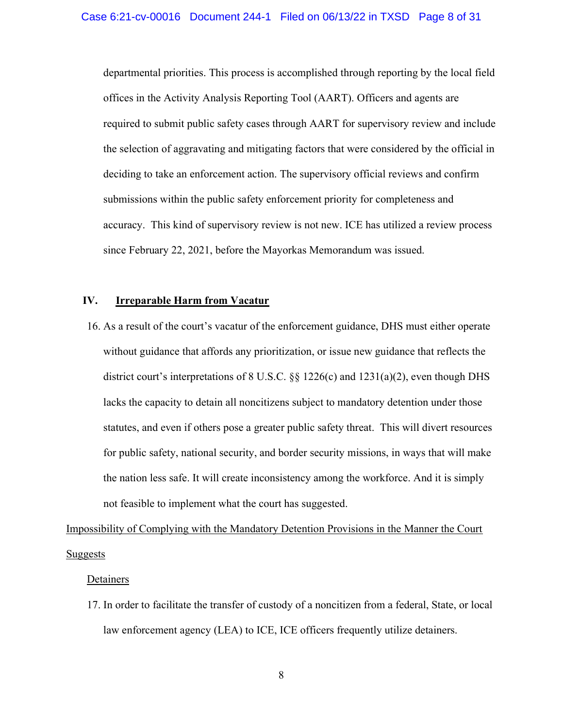departmental priorities. This process is accomplished through reporting by the local field offices in the Activity Analysis Reporting Tool (AART). Officers and agents are required to submit public safety cases through AART for supervisory review and include the selection of aggravating and mitigating factors that were considered by the official in deciding to take an enforcement action. The supervisory official reviews and confirm submissions within the public safety enforcement priority for completeness and accuracy. This kind of supervisory review is not new. ICE has utilized a review process since February 22, 2021, before the Mayorkas Memorandum was issued.

# IV. Irreparable Harm from Vacatur

16. As a result of the court's vacatur of the enforcement guidance, DHS must either operate without guidance that affords any prioritization, or issue new guidance that reflects the district court's interpretations of 8 U.S.C. §§ 1226(c) and 1231(a)(2), even though DHS lacks the capacity to detain all noncitizens subject to mandatory detention under those statutes, and even if others pose a greater public safety threat. This will divert resources for public safety, national security, and border security missions, in ways that will make the nation less safe. It will create inconsistency among the workforce. And it is simply not feasible to implement what the court has suggested.

Impossibility of Complying with the Mandatory Detention Provisions in the Manner the Court **Suggests** 

#### **Detainers**

17. In order to facilitate the transfer of custody of a noncitizen from a federal, State, or local law enforcement agency (LEA) to ICE, ICE officers frequently utilize detainers.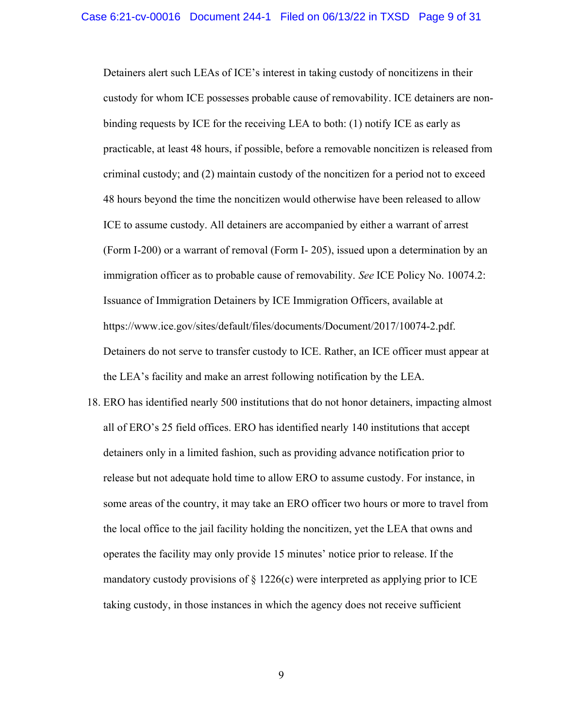Detainers alert such LEAs of ICE's interest in taking custody of noncitizens in their custody for whom ICE possesses probable cause of removability. ICE detainers are nonbinding requests by ICE for the receiving LEA to both: (1) notify ICE as early as practicable, at least 48 hours, if possible, before a removable noncitizen is released from criminal custody; and (2) maintain custody of the noncitizen for a period not to exceed 48 hours beyond the time the noncitizen would otherwise have been released to allow ICE to assume custody. All detainers are accompanied by either a warrant of arrest (Form I-200) or a warrant of removal (Form I- 205), issued upon a determination by an immigration officer as to probable cause of removability. See ICE Policy No. 10074.2: Issuance of Immigration Detainers by ICE Immigration Officers, available at https://www.ice.gov/sites/default/files/documents/Document/2017/10074-2.pdf. Detainers do not serve to transfer custody to ICE. Rather, an ICE officer must appear at the LEA's facility and make an arrest following notification by the LEA.

18. ERO has identified nearly 500 institutions that do not honor detainers, impacting almost all of ERO's 25 field offices. ERO has identified nearly 140 institutions that accept detainers only in a limited fashion, such as providing advance notification prior to release but not adequate hold time to allow ERO to assume custody. For instance, in some areas of the country, it may take an ERO officer two hours or more to travel from the local office to the jail facility holding the noncitizen, yet the LEA that owns and operates the facility may only provide 15 minutes' notice prior to release. If the mandatory custody provisions of  $\S 1226(c)$  were interpreted as applying prior to ICE taking custody, in those instances in which the agency does not receive sufficient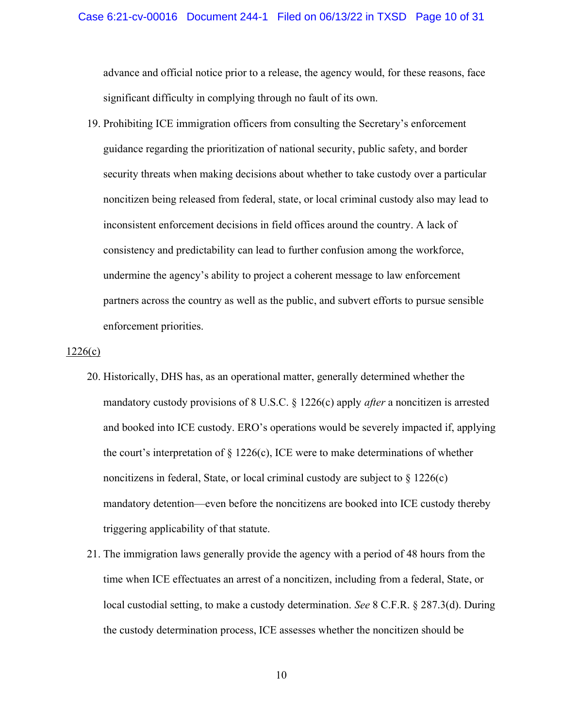advance and official notice prior to a release, the agency would, for these reasons, face significant difficulty in complying through no fault of its own.

19. Prohibiting ICE immigration officers from consulting the Secretary's enforcement guidance regarding the prioritization of national security, public safety, and border security threats when making decisions about whether to take custody over a particular noncitizen being released from federal, state, or local criminal custody also may lead to inconsistent enforcement decisions in field offices around the country. A lack of consistency and predictability can lead to further confusion among the workforce, undermine the agency's ability to project a coherent message to law enforcement partners across the country as well as the public, and subvert efforts to pursue sensible enforcement priorities.

#### $1226(c)$

- 20. Historically, DHS has, as an operational matter, generally determined whether the mandatory custody provisions of 8 U.S.C.  $\S$  1226(c) apply *after* a noncitizen is arrested and booked into ICE custody. ERO's operations would be severely impacted if, applying the court's interpretation of  $\S 1226(c)$ , ICE were to make determinations of whether noncitizens in federal, State, or local criminal custody are subject to  $\S 1226(c)$ mandatory detention—even before the noncitizens are booked into ICE custody thereby triggering applicability of that statute.
- 21. The immigration laws generally provide the agency with a period of 48 hours from the time when ICE effectuates an arrest of a noncitizen, including from a federal, State, or local custodial setting, to make a custody determination. See 8 C.F.R. § 287.3(d). During the custody determination process, ICE assesses whether the noncitizen should be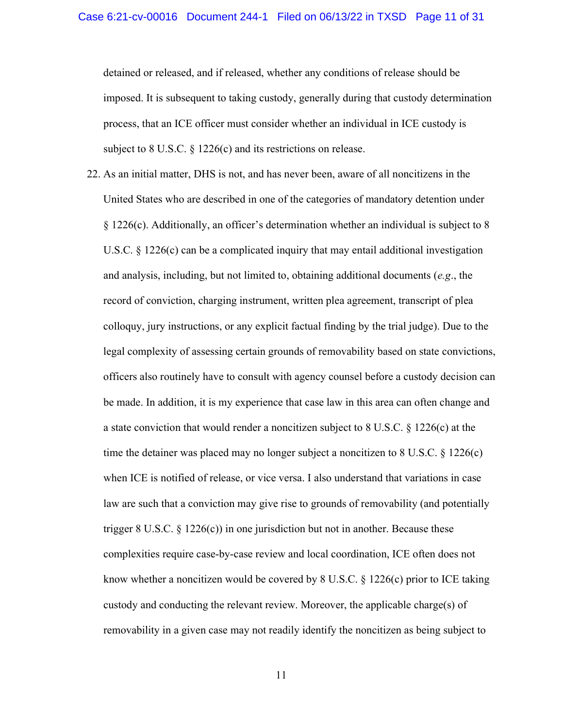detained or released, and if released, whether any conditions of release should be imposed. It is subsequent to taking custody, generally during that custody determination process, that an ICE officer must consider whether an individual in ICE custody is subject to 8 U.S.C. § 1226(c) and its restrictions on release.

22. As an initial matter, DHS is not, and has never been, aware of all noncitizens in the United States who are described in one of the categories of mandatory detention under § 1226(c). Additionally, an officer's determination whether an individual is subject to 8 U.S.C.  $\S 1226(c)$  can be a complicated inquiry that may entail additional investigation and analysis, including, but not limited to, obtaining additional documents (e.g., the record of conviction, charging instrument, written plea agreement, transcript of plea colloquy, jury instructions, or any explicit factual finding by the trial judge). Due to the legal complexity of assessing certain grounds of removability based on state convictions, officers also routinely have to consult with agency counsel before a custody decision can be made. In addition, it is my experience that case law in this area can often change and a state conviction that would render a noncitizen subject to 8 U.S.C. § 1226(c) at the time the detainer was placed may no longer subject a noncitizen to 8 U.S.C. § 1226(c) when ICE is notified of release, or vice versa. I also understand that variations in case law are such that a conviction may give rise to grounds of removability (and potentially trigger 8 U.S.C.  $\S$  1226(c)) in one jurisdiction but not in another. Because these complexities require case-by-case review and local coordination, ICE often does not know whether a noncitizen would be covered by 8 U.S.C. § 1226(c) prior to ICE taking custody and conducting the relevant review. Moreover, the applicable charge(s) of removability in a given case may not readily identify the noncitizen as being subject to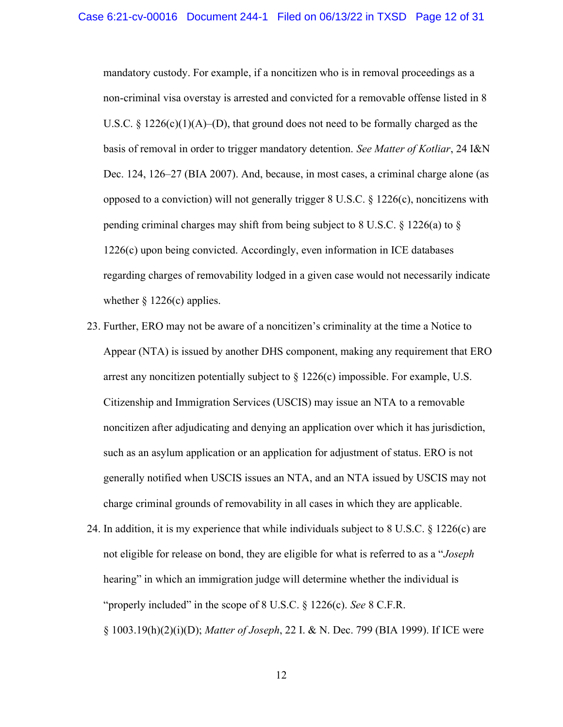mandatory custody. For example, if a noncitizen who is in removal proceedings as a non-criminal visa overstay is arrested and convicted for a removable offense listed in 8 U.S.C. § 1226(c)(1)(A)–(D), that ground does not need to be formally charged as the basis of removal in order to trigger mandatory detention. See Matter of Kotliar, 24 I&N Dec. 124, 126–27 (BIA 2007). And, because, in most cases, a criminal charge alone (as opposed to a conviction) will not generally trigger  $8 \text{ U.S.C. } 8 \text{ 1226(c)}$ , noncitizens with pending criminal charges may shift from being subject to  $8 \text{ U.S.C.} \$  1226(a) to  $\frac{8}{3}$ 1226(c) upon being convicted. Accordingly, even information in ICE databases regarding charges of removability lodged in a given case would not necessarily indicate whether  $\S 1226(c)$  applies.

- 23. Further, ERO may not be aware of a noncitizen's criminality at the time a Notice to Appear (NTA) is issued by another DHS component, making any requirement that ERO arrest any noncitizen potentially subject to § 1226(c) impossible. For example, U.S. Citizenship and Immigration Services (USCIS) may issue an NTA to a removable noncitizen after adjudicating and denying an application over which it has jurisdiction, such as an asylum application or an application for adjustment of status. ERO is not generally notified when USCIS issues an NTA, and an NTA issued by USCIS may not charge criminal grounds of removability in all cases in which they are applicable.
- 24. In addition, it is my experience that while individuals subject to 8 U.S.C. § 1226(c) are not eligible for release on bond, they are eligible for what is referred to as a "*Joseph* hearing" in which an immigration judge will determine whether the individual is "properly included" in the scope of  $8$  U.S.C.  $\S$  1226(c). See  $8$  C.F.R. § 1003.19(h)(2)(i)(D); Matter of Joseph, 22 I. & N. Dec. 799 (BIA 1999). If ICE were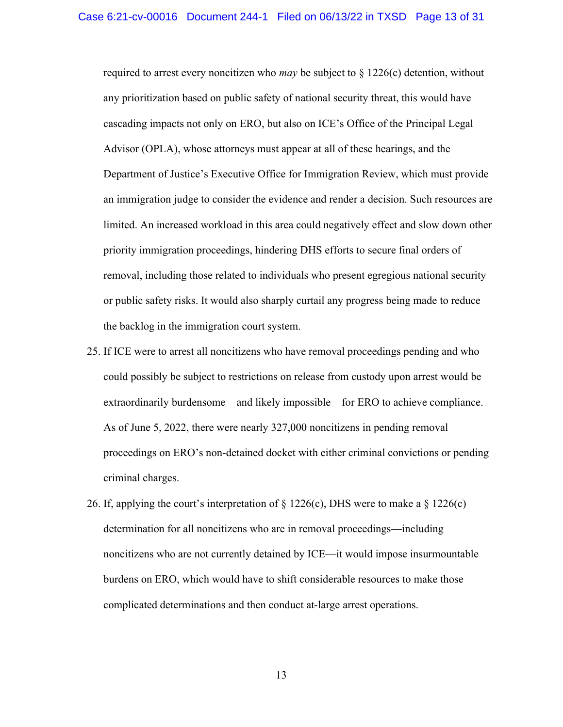required to arrest every noncitizen who *may* be subject to  $\S 1226(c)$  detention, without any prioritization based on public safety of national security threat, this would have cascading impacts not only on ERO, but also on ICE's Office of the Principal Legal Advisor (OPLA), whose attorneys must appear at all of these hearings, and the Department of Justice's Executive Office for Immigration Review, which must provide an immigration judge to consider the evidence and render a decision. Such resources are limited. An increased workload in this area could negatively effect and slow down other priority immigration proceedings, hindering DHS efforts to secure final orders of removal, including those related to individuals who present egregious national security or public safety risks. It would also sharply curtail any progress being made to reduce the backlog in the immigration court system.

- 25. If ICE were to arrest all noncitizens who have removal proceedings pending and who could possibly be subject to restrictions on release from custody upon arrest would be extraordinarily burdensome—and likely impossible—for ERO to achieve compliance. As of June 5, 2022, there were nearly 327,000 noncitizens in pending removal proceedings on ERO's non-detained docket with either criminal convictions or pending criminal charges.
- 26. If, applying the court's interpretation of  $\S 1226(c)$ , DHS were to make a  $\S 1226(c)$ determination for all noncitizens who are in removal proceedings—including noncitizens who are not currently detained by ICE—it would impose insurmountable burdens on ERO, which would have to shift considerable resources to make those complicated determinations and then conduct at-large arrest operations.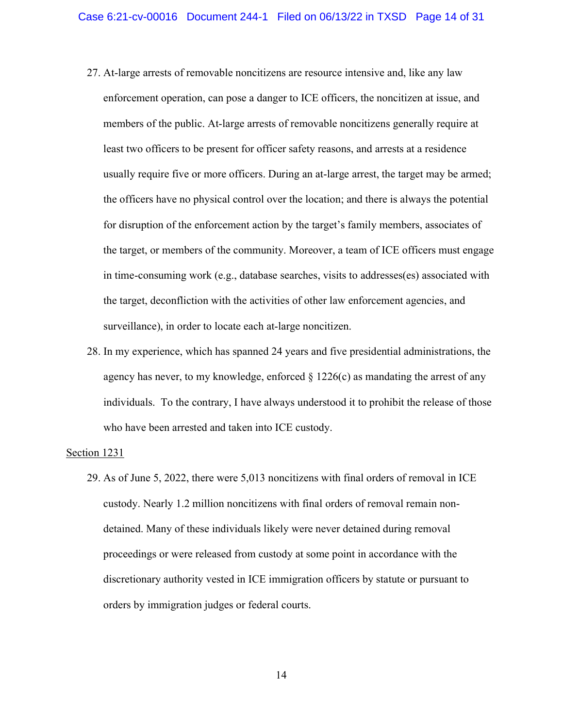- 27. At-large arrests of removable noncitizens are resource intensive and, like any law enforcement operation, can pose a danger to ICE officers, the noncitizen at issue, and members of the public. At-large arrests of removable noncitizens generally require at least two officers to be present for officer safety reasons, and arrests at a residence usually require five or more officers. During an at-large arrest, the target may be armed; the officers have no physical control over the location; and there is always the potential for disruption of the enforcement action by the target's family members, associates of the target, or members of the community. Moreover, a team of ICE officers must engage in time-consuming work (e.g., database searches, visits to addresses(es) associated with the target, deconfliction with the activities of other law enforcement agencies, and surveillance), in order to locate each at-large noncitizen.
- 28. In my experience, which has spanned 24 years and five presidential administrations, the agency has never, to my knowledge, enforced  $\S 1226(c)$  as mandating the arrest of any individuals. To the contrary, I have always understood it to prohibit the release of those who have been arrested and taken into ICE custody.

#### Section 1231

29. As of June 5, 2022, there were 5,013 noncitizens with final orders of removal in ICE custody. Nearly 1.2 million noncitizens with final orders of removal remain nondetained. Many of these individuals likely were never detained during removal proceedings or were released from custody at some point in accordance with the discretionary authority vested in ICE immigration officers by statute or pursuant to orders by immigration judges or federal courts.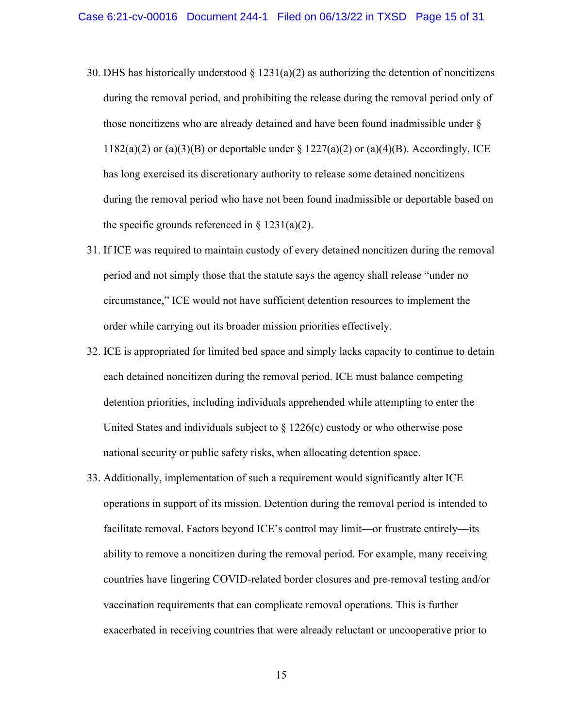- 30. DHS has historically understood  $\S 1231(a)(2)$  as authorizing the detention of noncitizens during the removal period, and prohibiting the release during the removal period only of those noncitizens who are already detained and have been found inadmissible under §  $1182(a)(2)$  or  $(a)(3)(B)$  or deportable under §  $1227(a)(2)$  or  $(a)(4)(B)$ . Accordingly, ICE has long exercised its discretionary authority to release some detained noncitizens during the removal period who have not been found inadmissible or deportable based on the specific grounds referenced in  $\S 1231(a)(2)$ .
- 31. If ICE was required to maintain custody of every detained noncitizen during the removal period and not simply those that the statute says the agency shall release "under no circumstance," ICE would not have sufficient detention resources to implement the order while carrying out its broader mission priorities effectively.
- 32. ICE is appropriated for limited bed space and simply lacks capacity to continue to detain each detained noncitizen during the removal period. ICE must balance competing detention priorities, including individuals apprehended while attempting to enter the United States and individuals subject to  $\S 1226(c)$  custody or who otherwise pose national security or public safety risks, when allocating detention space.
- 33. Additionally, implementation of such a requirement would significantly alter ICE operations in support of its mission. Detention during the removal period is intended to facilitate removal. Factors beyond ICE's control may limit—or frustrate entirely—its ability to remove a noncitizen during the removal period. For example, many receiving countries have lingering COVID-related border closures and pre-removal testing and/or vaccination requirements that can complicate removal operations. This is further exacerbated in receiving countries that were already reluctant or uncooperative prior to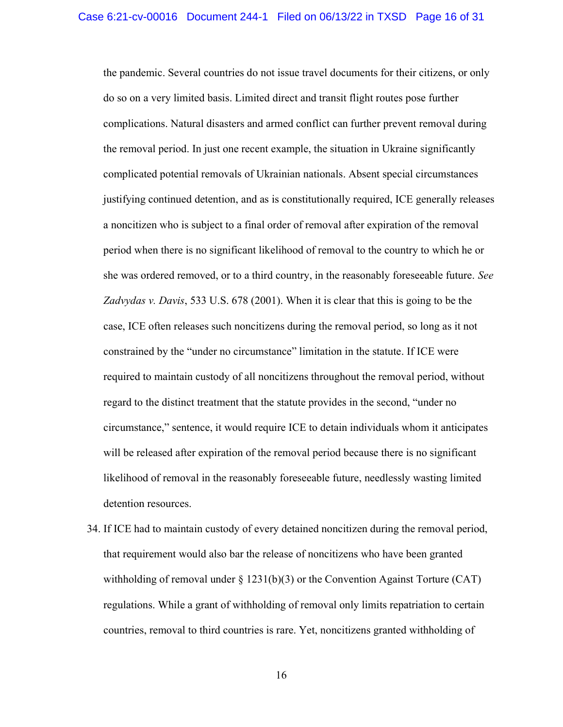the pandemic. Several countries do not issue travel documents for their citizens, or only do so on a very limited basis. Limited direct and transit flight routes pose further complications. Natural disasters and armed conflict can further prevent removal during the removal period. In just one recent example, the situation in Ukraine significantly complicated potential removals of Ukrainian nationals. Absent special circumstances justifying continued detention, and as is constitutionally required, ICE generally releases a noncitizen who is subject to a final order of removal after expiration of the removal period when there is no significant likelihood of removal to the country to which he or she was ordered removed, or to a third country, in the reasonably foreseeable future. See Zadvydas v. Davis, 533 U.S. 678 (2001). When it is clear that this is going to be the case, ICE often releases such noncitizens during the removal period, so long as it not constrained by the "under no circumstance" limitation in the statute. If ICE were required to maintain custody of all noncitizens throughout the removal period, without regard to the distinct treatment that the statute provides in the second, "under no circumstance," sentence, it would require ICE to detain individuals whom it anticipates will be released after expiration of the removal period because there is no significant likelihood of removal in the reasonably foreseeable future, needlessly wasting limited detention resources.

34. If ICE had to maintain custody of every detained noncitizen during the removal period, that requirement would also bar the release of noncitizens who have been granted withholding of removal under  $\S 1231(b)(3)$  or the Convention Against Torture (CAT) regulations. While a grant of withholding of removal only limits repatriation to certain countries, removal to third countries is rare. Yet, noncitizens granted withholding of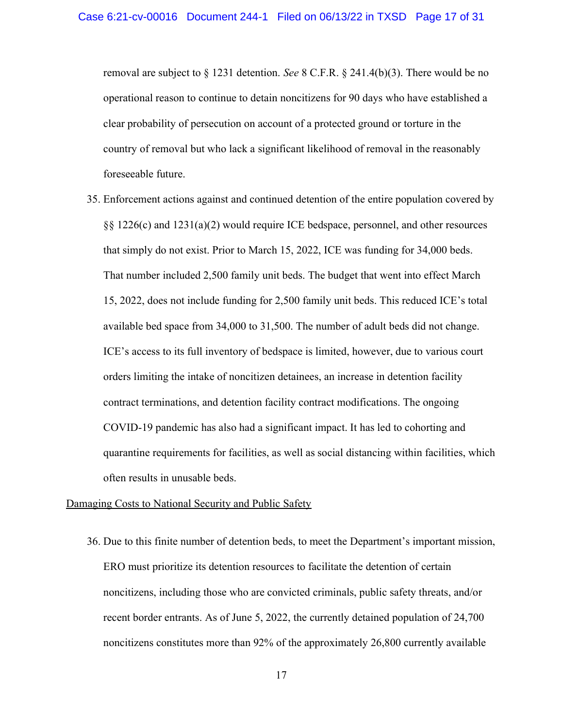removal are subject to § 1231 detention. See 8 C.F.R. § 241.4(b)(3). There would be no operational reason to continue to detain noncitizens for 90 days who have established a clear probability of persecution on account of a protected ground or torture in the country of removal but who lack a significant likelihood of removal in the reasonably foreseeable future.

35. Enforcement actions against and continued detention of the entire population covered by §§ 1226(c) and 1231(a)(2) would require ICE bedspace, personnel, and other resources that simply do not exist. Prior to March 15, 2022, ICE was funding for 34,000 beds. That number included 2,500 family unit beds. The budget that went into effect March 15, 2022, does not include funding for 2,500 family unit beds. This reduced ICE's total available bed space from 34,000 to 31,500. The number of adult beds did not change. ICE's access to its full inventory of bedspace is limited, however, due to various court orders limiting the intake of noncitizen detainees, an increase in detention facility contract terminations, and detention facility contract modifications. The ongoing COVID-19 pandemic has also had a significant impact. It has led to cohorting and quarantine requirements for facilities, as well as social distancing within facilities, which often results in unusable beds.

#### Damaging Costs to National Security and Public Safety

36. Due to this finite number of detention beds, to meet the Department's important mission, ERO must prioritize its detention resources to facilitate the detention of certain noncitizens, including those who are convicted criminals, public safety threats, and/or recent border entrants. As of June 5, 2022, the currently detained population of 24,700 noncitizens constitutes more than 92% of the approximately 26,800 currently available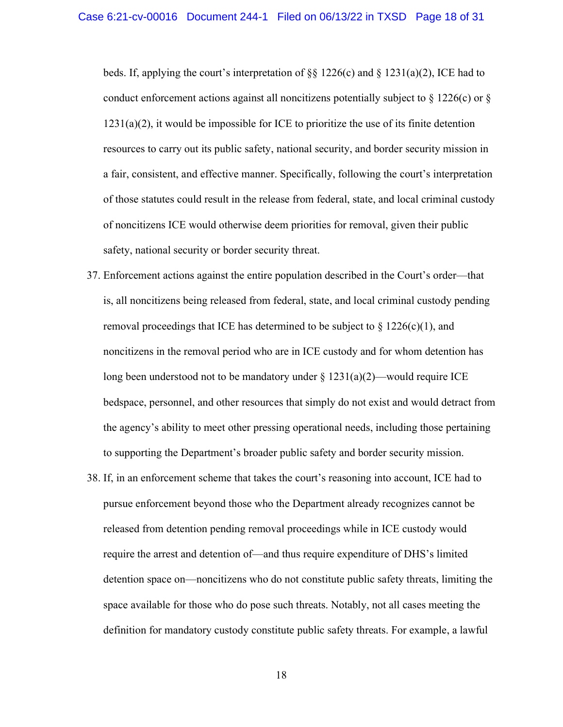beds. If, applying the court's interpretation of §§ 1226(c) and § 1231(a)(2), ICE had to conduct enforcement actions against all noncitizens potentially subject to  $\S 1226(c)$  or  $\S$  $1231(a)(2)$ , it would be impossible for ICE to prioritize the use of its finite detention resources to carry out its public safety, national security, and border security mission in a fair, consistent, and effective manner. Specifically, following the court's interpretation of those statutes could result in the release from federal, state, and local criminal custody of noncitizens ICE would otherwise deem priorities for removal, given their public safety, national security or border security threat.

- 37. Enforcement actions against the entire population described in the Court's order—that is, all noncitizens being released from federal, state, and local criminal custody pending removal proceedings that ICE has determined to be subject to  $\S 1226(c)(1)$ , and noncitizens in the removal period who are in ICE custody and for whom detention has long been understood not to be mandatory under  $\S 1231(a)(2)$ —would require ICE bedspace, personnel, and other resources that simply do not exist and would detract from the agency's ability to meet other pressing operational needs, including those pertaining to supporting the Department's broader public safety and border security mission.
- 38. If, in an enforcement scheme that takes the court's reasoning into account, ICE had to pursue enforcement beyond those who the Department already recognizes cannot be released from detention pending removal proceedings while in ICE custody would require the arrest and detention of—and thus require expenditure of DHS's limited detention space on—noncitizens who do not constitute public safety threats, limiting the space available for those who do pose such threats. Notably, not all cases meeting the definition for mandatory custody constitute public safety threats. For example, a lawful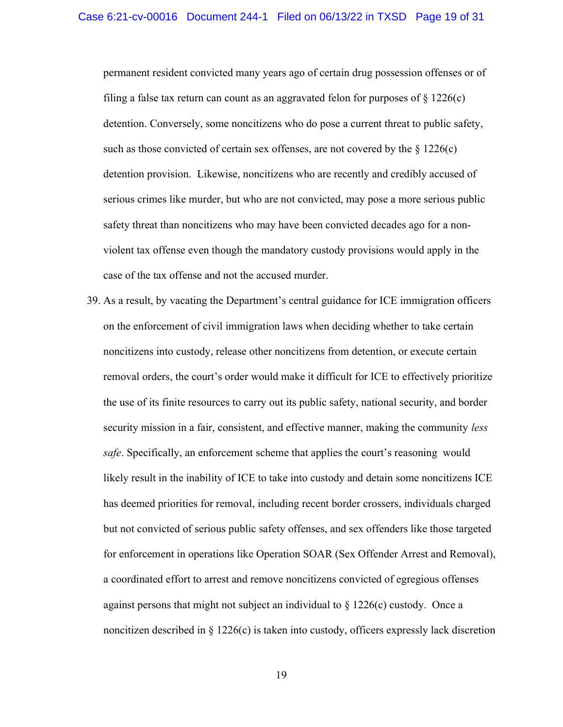permanent resident convicted many years ago of certain drug possession offenses or of filing a false tax return can count as an aggravated felon for purposes of  $\S 1226(c)$ detention. Conversely, some noncitizens who do pose a current threat to public safety, such as those convicted of certain sex offenses, are not covered by the  $\S 1226(c)$ detention provision. Likewise, noncitizens who are recently and credibly accused of serious crimes like murder, but who are not convicted, may pose a more serious public safety threat than noncitizens who may have been convicted decades ago for a nonviolent tax offense even though the mandatory custody provisions would apply in the case of the tax offense and not the accused murder.

39. As a result, by vacating the Department's central guidance for ICE immigration officers on the enforcement of civil immigration laws when deciding whether to take certain noncitizens into custody, release other noncitizens from detention, or execute certain removal orders, the court's order would make it difficult for ICE to effectively prioritize the use of its finite resources to carry out its public safety, national security, and border security mission in a fair, consistent, and effective manner, making the community *less* safe. Specifically, an enforcement scheme that applies the court's reasoning would likely result in the inability of ICE to take into custody and detain some noncitizens ICE has deemed priorities for removal, including recent border crossers, individuals charged but not convicted of serious public safety offenses, and sex offenders like those targeted for enforcement in operations like Operation SOAR (Sex Offender Arrest and Removal), a coordinated effort to arrest and remove noncitizens convicted of egregious offenses against persons that might not subject an individual to  $\S 1226(c)$  custody. Once a noncitizen described in  $\S 1226(c)$  is taken into custody, officers expressly lack discretion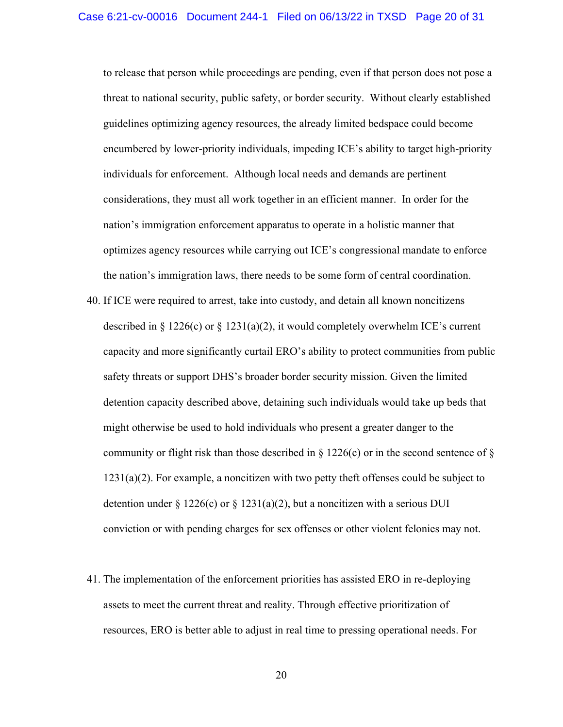to release that person while proceedings are pending, even if that person does not pose a threat to national security, public safety, or border security. Without clearly established guidelines optimizing agency resources, the already limited bedspace could become encumbered by lower-priority individuals, impeding ICE's ability to target high-priority individuals for enforcement. Although local needs and demands are pertinent considerations, they must all work together in an efficient manner. In order for the nation's immigration enforcement apparatus to operate in a holistic manner that optimizes agency resources while carrying out ICE's congressional mandate to enforce the nation's immigration laws, there needs to be some form of central coordination.

- 40. If ICE were required to arrest, take into custody, and detain all known noncitizens described in  $\S 1226(c)$  or  $\S 1231(a)(2)$ , it would completely overwhelm ICE's current capacity and more significantly curtail ERO's ability to protect communities from public safety threats or support DHS's broader border security mission. Given the limited detention capacity described above, detaining such individuals would take up beds that might otherwise be used to hold individuals who present a greater danger to the community or flight risk than those described in  $\S$  1226(c) or in the second sentence of  $\S$  $1231(a)(2)$ . For example, a noncitizen with two petty theft offenses could be subject to detention under § 1226(c) or § 1231(a)(2), but a noncitizen with a serious DUI conviction or with pending charges for sex offenses or other violent felonies may not.
- 41. The implementation of the enforcement priorities has assisted ERO in re-deploying assets to meet the current threat and reality. Through effective prioritization of resources, ERO is better able to adjust in real time to pressing operational needs. For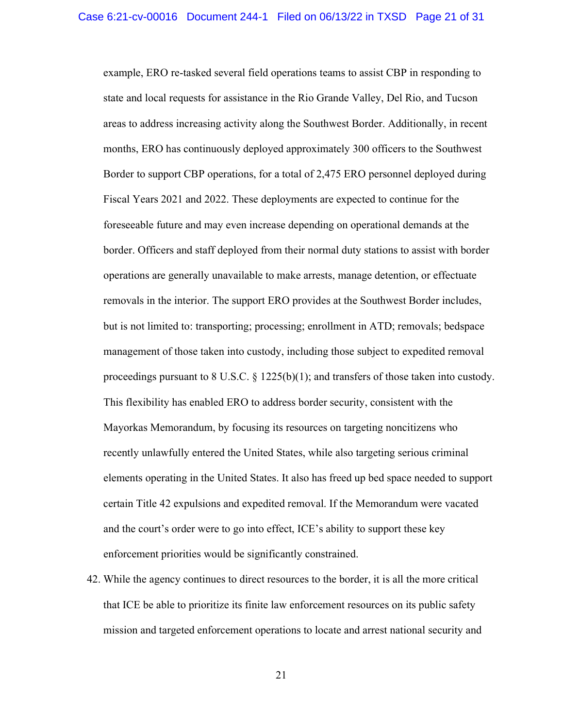example, ERO re-tasked several field operations teams to assist CBP in responding to state and local requests for assistance in the Rio Grande Valley, Del Rio, and Tucson areas to address increasing activity along the Southwest Border. Additionally, in recent months, ERO has continuously deployed approximately 300 officers to the Southwest Border to support CBP operations, for a total of 2,475 ERO personnel deployed during Fiscal Years 2021 and 2022. These deployments are expected to continue for the foreseeable future and may even increase depending on operational demands at the border. Officers and staff deployed from their normal duty stations to assist with border operations are generally unavailable to make arrests, manage detention, or effectuate removals in the interior. The support ERO provides at the Southwest Border includes, but is not limited to: transporting; processing; enrollment in ATD; removals; bedspace management of those taken into custody, including those subject to expedited removal proceedings pursuant to 8 U.S.C.  $\S$  1225(b)(1); and transfers of those taken into custody. This flexibility has enabled ERO to address border security, consistent with the Mayorkas Memorandum, by focusing its resources on targeting noncitizens who recently unlawfully entered the United States, while also targeting serious criminal elements operating in the United States. It also has freed up bed space needed to support certain Title 42 expulsions and expedited removal. If the Memorandum were vacated and the court's order were to go into effect, ICE's ability to support these key enforcement priorities would be significantly constrained.

42. While the agency continues to direct resources to the border, it is all the more critical that ICE be able to prioritize its finite law enforcement resources on its public safety mission and targeted enforcement operations to locate and arrest national security and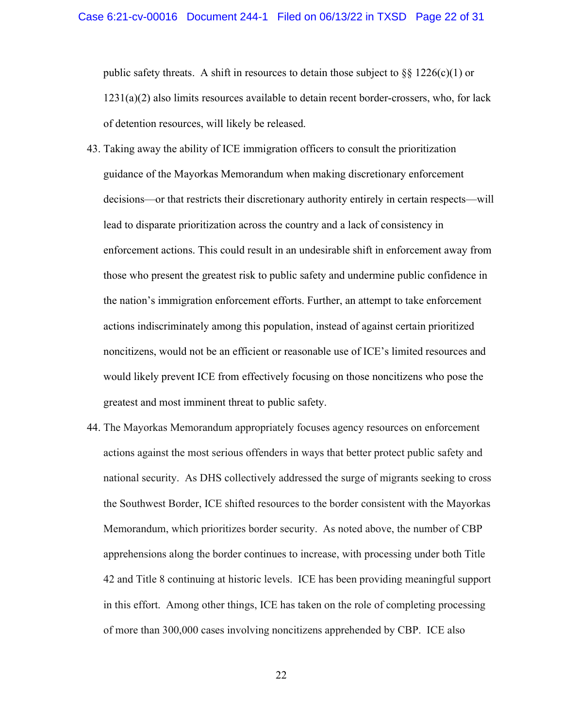public safety threats. A shift in resources to detain those subject to  $\S$ § 1226(c)(1) or 1231(a)(2) also limits resources available to detain recent border-crossers, who, for lack of detention resources, will likely be released.

- 43. Taking away the ability of ICE immigration officers to consult the prioritization guidance of the Mayorkas Memorandum when making discretionary enforcement decisions—or that restricts their discretionary authority entirely in certain respects—will lead to disparate prioritization across the country and a lack of consistency in enforcement actions. This could result in an undesirable shift in enforcement away from those who present the greatest risk to public safety and undermine public confidence in the nation's immigration enforcement efforts. Further, an attempt to take enforcement actions indiscriminately among this population, instead of against certain prioritized noncitizens, would not be an efficient or reasonable use of ICE's limited resources and would likely prevent ICE from effectively focusing on those noncitizens who pose the greatest and most imminent threat to public safety.
- 44. The Mayorkas Memorandum appropriately focuses agency resources on enforcement actions against the most serious offenders in ways that better protect public safety and national security. As DHS collectively addressed the surge of migrants seeking to cross the Southwest Border, ICE shifted resources to the border consistent with the Mayorkas Memorandum, which prioritizes border security. As noted above, the number of CBP apprehensions along the border continues to increase, with processing under both Title 42 and Title 8 continuing at historic levels. ICE has been providing meaningful support in this effort. Among other things, ICE has taken on the role of completing processing of more than 300,000 cases involving noncitizens apprehended by CBP. ICE also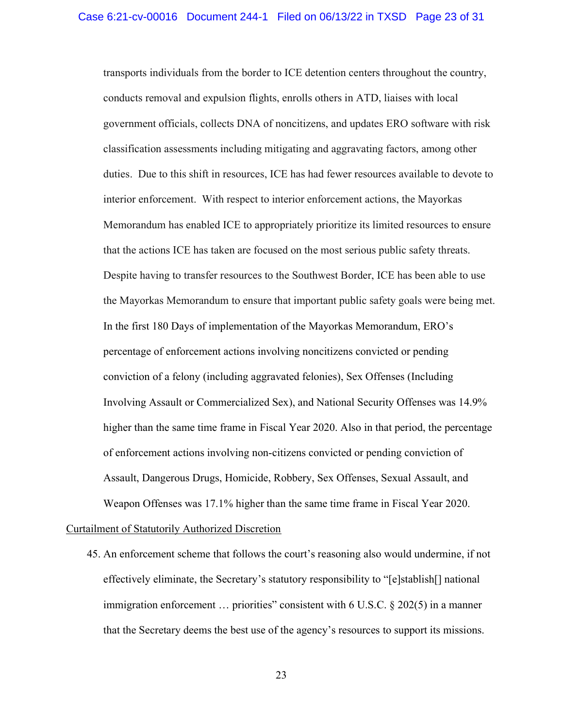transports individuals from the border to ICE detention centers throughout the country, conducts removal and expulsion flights, enrolls others in ATD, liaises with local government officials, collects DNA of noncitizens, and updates ERO software with risk classification assessments including mitigating and aggravating factors, among other duties. Due to this shift in resources, ICE has had fewer resources available to devote to interior enforcement. With respect to interior enforcement actions, the Mayorkas Memorandum has enabled ICE to appropriately prioritize its limited resources to ensure that the actions ICE has taken are focused on the most serious public safety threats. Despite having to transfer resources to the Southwest Border, ICE has been able to use the Mayorkas Memorandum to ensure that important public safety goals were being met. In the first 180 Days of implementation of the Mayorkas Memorandum, ERO's percentage of enforcement actions involving noncitizens convicted or pending conviction of a felony (including aggravated felonies), Sex Offenses (Including Involving Assault or Commercialized Sex), and National Security Offenses was 14.9% higher than the same time frame in Fiscal Year 2020. Also in that period, the percentage of enforcement actions involving non-citizens convicted or pending conviction of Assault, Dangerous Drugs, Homicide, Robbery, Sex Offenses, Sexual Assault, and Weapon Offenses was 17.1% higher than the same time frame in Fiscal Year 2020.

### Curtailment of Statutorily Authorized Discretion

45. An enforcement scheme that follows the court's reasoning also would undermine, if not effectively eliminate, the Secretary's statutory responsibility to "[e]stablish[] national immigration enforcement ... priorities" consistent with 6 U.S.C. § 202(5) in a manner that the Secretary deems the best use of the agency's resources to support its missions.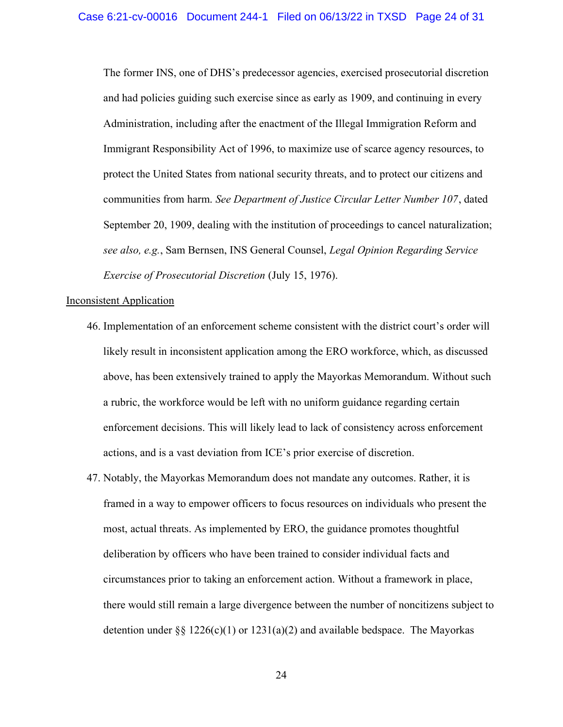The former INS, one of DHS's predecessor agencies, exercised prosecutorial discretion and had policies guiding such exercise since as early as 1909, and continuing in every Administration, including after the enactment of the Illegal Immigration Reform and Immigrant Responsibility Act of 1996, to maximize use of scarce agency resources, to protect the United States from national security threats, and to protect our citizens and communities from harm. See Department of Justice Circular Letter Number 107, dated September 20, 1909, dealing with the institution of proceedings to cancel naturalization; see also, e.g., Sam Bernsen, INS General Counsel, Legal Opinion Regarding Service Exercise of Prosecutorial Discretion (July 15, 1976).

### Inconsistent Application

- 46. Implementation of an enforcement scheme consistent with the district court's order will likely result in inconsistent application among the ERO workforce, which, as discussed above, has been extensively trained to apply the Mayorkas Memorandum. Without such a rubric, the workforce would be left with no uniform guidance regarding certain enforcement decisions. This will likely lead to lack of consistency across enforcement actions, and is a vast deviation from ICE's prior exercise of discretion.
- 47. Notably, the Mayorkas Memorandum does not mandate any outcomes. Rather, it is framed in a way to empower officers to focus resources on individuals who present the most, actual threats. As implemented by ERO, the guidance promotes thoughtful deliberation by officers who have been trained to consider individual facts and circumstances prior to taking an enforcement action. Without a framework in place, there would still remain a large divergence between the number of noncitizens subject to detention under  $\S$ § 1226(c)(1) or 1231(a)(2) and available bedspace. The Mayorkas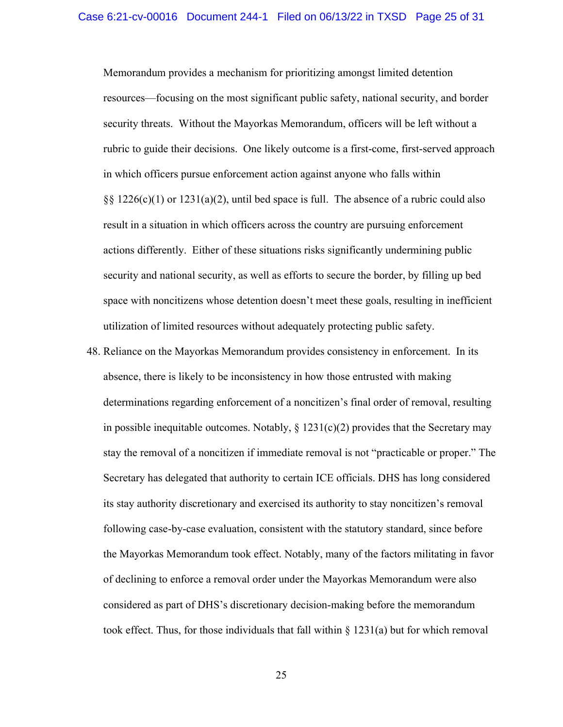Memorandum provides a mechanism for prioritizing amongst limited detention resources—focusing on the most significant public safety, national security, and border security threats. Without the Mayorkas Memorandum, officers will be left without a rubric to guide their decisions. One likely outcome is a first-come, first-served approach in which officers pursue enforcement action against anyone who falls within  $\S$ § 1226(c)(1) or 1231(a)(2), until bed space is full. The absence of a rubric could also result in a situation in which officers across the country are pursuing enforcement actions differently. Either of these situations risks significantly undermining public security and national security, as well as efforts to secure the border, by filling up bed space with noncitizens whose detention doesn't meet these goals, resulting in inefficient utilization of limited resources without adequately protecting public safety.

48. Reliance on the Mayorkas Memorandum provides consistency in enforcement. In its absence, there is likely to be inconsistency in how those entrusted with making determinations regarding enforcement of a noncitizen's final order of removal, resulting in possible inequitable outcomes. Notably,  $\S$  1231(c)(2) provides that the Secretary may stay the removal of a noncitizen if immediate removal is not "practicable or proper." The Secretary has delegated that authority to certain ICE officials. DHS has long considered its stay authority discretionary and exercised its authority to stay noncitizen's removal following case-by-case evaluation, consistent with the statutory standard, since before the Mayorkas Memorandum took effect. Notably, many of the factors militating in favor of declining to enforce a removal order under the Mayorkas Memorandum were also considered as part of DHS's discretionary decision-making before the memorandum took effect. Thus, for those individuals that fall within  $\S 1231(a)$  but for which removal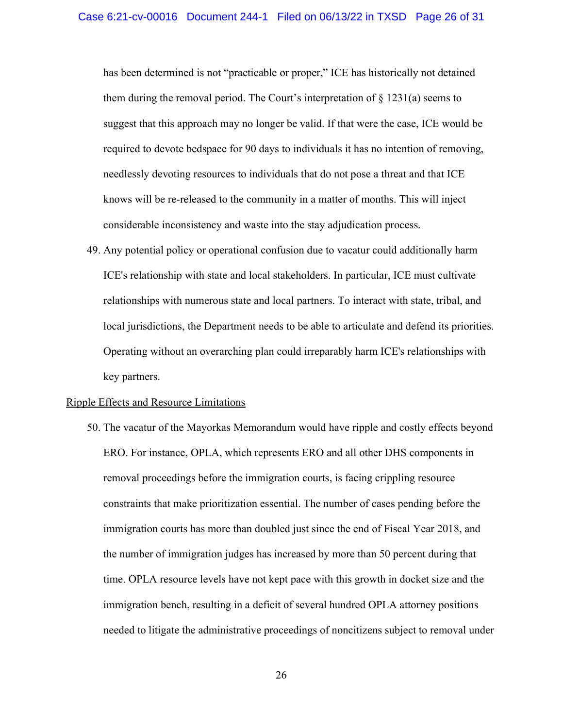has been determined is not "practicable or proper," ICE has historically not detained them during the removal period. The Court's interpretation of  $\S$  1231(a) seems to suggest that this approach may no longer be valid. If that were the case, ICE would be required to devote bedspace for 90 days to individuals it has no intention of removing, needlessly devoting resources to individuals that do not pose a threat and that ICE knows will be re-released to the community in a matter of months. This will inject considerable inconsistency and waste into the stay adjudication process.

49. Any potential policy or operational confusion due to vacatur could additionally harm ICE's relationship with state and local stakeholders. In particular, ICE must cultivate relationships with numerous state and local partners. To interact with state, tribal, and local jurisdictions, the Department needs to be able to articulate and defend its priorities. Operating without an overarching plan could irreparably harm ICE's relationships with key partners.

#### Ripple Effects and Resource Limitations

50. The vacatur of the Mayorkas Memorandum would have ripple and costly effects beyond ERO. For instance, OPLA, which represents ERO and all other DHS components in removal proceedings before the immigration courts, is facing crippling resource constraints that make prioritization essential. The number of cases pending before the immigration courts has more than doubled just since the end of Fiscal Year 2018, and the number of immigration judges has increased by more than 50 percent during that time. OPLA resource levels have not kept pace with this growth in docket size and the immigration bench, resulting in a deficit of several hundred OPLA attorney positions needed to litigate the administrative proceedings of noncitizens subject to removal under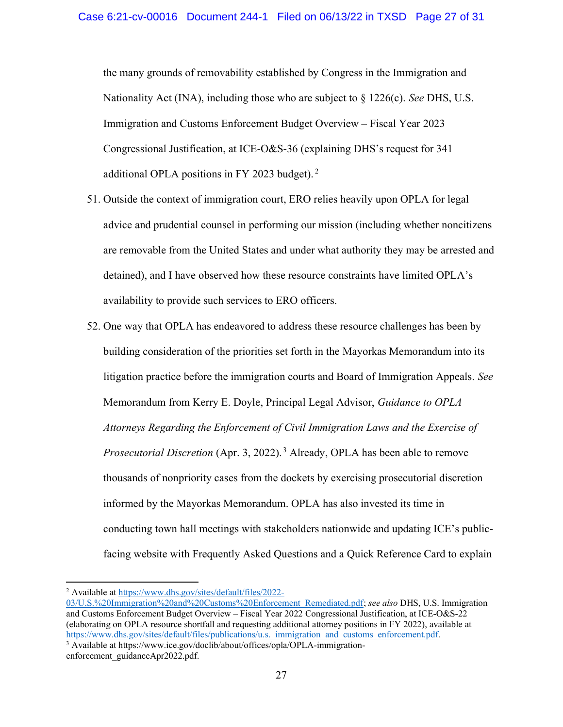the many grounds of removability established by Congress in the Immigration and Nationality Act (INA), including those who are subject to  $\S 1226(c)$ . See DHS, U.S. Immigration and Customs Enforcement Budget Overview – Fiscal Year 2023 Congressional Justification, at ICE-O&S-36 (explaining DHS's request for 341 additional OPLA positions in FY 2023 budget). $2$ 

- 51. Outside the context of immigration court, ERO relies heavily upon OPLA for legal advice and prudential counsel in performing our mission (including whether noncitizens are removable from the United States and under what authority they may be arrested and detained), and I have observed how these resource constraints have limited OPLA's availability to provide such services to ERO officers.
- 52. One way that OPLA has endeavored to address these resource challenges has been by building consideration of the priorities set forth in the Mayorkas Memorandum into its litigation practice before the immigration courts and Board of Immigration Appeals. See Memorandum from Kerry E. Doyle, Principal Legal Advisor, Guidance to OPLA Attorneys Regarding the Enforcement of Civil Immigration Laws and the Exercise of *Prosecutorial Discretion* (Apr. 3, 2022).<sup>3</sup> Already, OPLA has been able to remove thousands of nonpriority cases from the dockets by exercising prosecutorial discretion informed by the Mayorkas Memorandum. OPLA has also invested its time in conducting town hall meetings with stakeholders nationwide and updating ICE's publicfacing website with Frequently Asked Questions and a Quick Reference Card to explain

<sup>&</sup>lt;sup>2</sup> Available at https://www.dhs.gov/sites/default/files/2022-

<sup>03/</sup>U.S.%20Immigration%20and%20Customs%20Enforcement Remediated.pdf; see also DHS, U.S. Immigration and Customs Enforcement Budget Overview – Fiscal Year 2022 Congressional Justification, at ICE-O&S-22 (elaborating on OPLA resource shortfall and requesting additional attorney positions in FY 2022), available at https://www.dhs.gov/sites/default/files/publications/u.s. immigration and customs enforcement.pdf.

<sup>&</sup>lt;sup>3</sup> Available at https://www.ice.gov/doclib/about/offices/opla/OPLA-immigrationenforcement\_guidanceApr2022.pdf.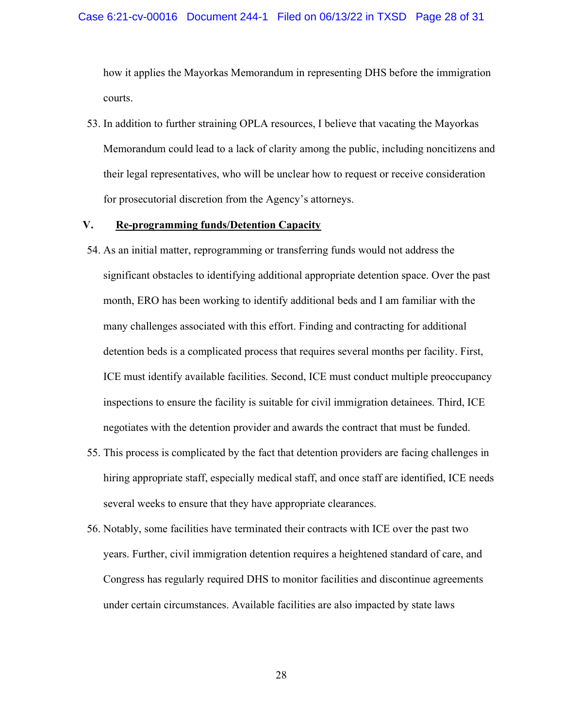how it applies the Mayorkas Memorandum in representing DHS before the immigration courts.

53. In addition to further straining OPLA resources, I believe that vacating the Mayorkas Memorandum could lead to a lack of clarity among the public, including noncitizens and their legal representatives, who will be unclear how to request or receive consideration for prosecutorial discretion from the Agency's attorneys.

### V. Re-programming funds/Detention Capacity

- 54. As an initial matter, reprogramming or transferring funds would not address the significant obstacles to identifying additional appropriate detention space. Over the past month, ERO has been working to identify additional beds and I am familiar with the many challenges associated with this effort. Finding and contracting for additional detention beds is a complicated process that requires several months per facility. First, ICE must identify available facilities. Second, ICE must conduct multiple preoccupancy inspections to ensure the facility is suitable for civil immigration detainees. Third, ICE negotiates with the detention provider and awards the contract that must be funded.
- 55. This process is complicated by the fact that detention providers are facing challenges in hiring appropriate staff, especially medical staff, and once staff are identified, ICE needs several weeks to ensure that they have appropriate clearances.
- 56. Notably, some facilities have terminated their contracts with ICE over the past two years. Further, civil immigration detention requires a heightened standard of care, and Congress has regularly required DHS to monitor facilities and discontinue agreements under certain circumstances. Available facilities are also impacted by state laws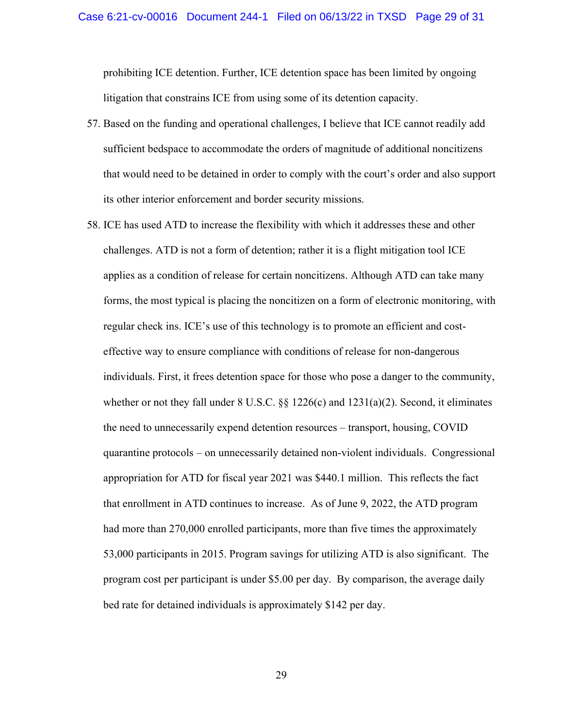### Case 6:21-cv-00016 Document 244-1 Filed on 06/13/22 in TXSD Page 29 of 31

prohibiting ICE detention. Further, ICE detention space has been limited by ongoing litigation that constrains ICE from using some of its detention capacity.

- 57. Based on the funding and operational challenges, I believe that ICE cannot readily add sufficient bedspace to accommodate the orders of magnitude of additional noncitizens that would need to be detained in order to comply with the court's order and also support its other interior enforcement and border security missions.
- 58. ICE has used ATD to increase the flexibility with which it addresses these and other challenges. ATD is not a form of detention; rather it is a flight mitigation tool ICE applies as a condition of release for certain noncitizens. Although ATD can take many forms, the most typical is placing the noncitizen on a form of electronic monitoring, with regular check ins. ICE's use of this technology is to promote an efficient and costeffective way to ensure compliance with conditions of release for non-dangerous individuals. First, it frees detention space for those who pose a danger to the community, whether or not they fall under 8 U.S.C. §§ 1226(c) and 1231(a)(2). Second, it eliminates the need to unnecessarily expend detention resources – transport, housing, COVID quarantine protocols – on unnecessarily detained non-violent individuals. Congressional appropriation for ATD for fiscal year 2021 was \$440.1 million. This reflects the fact that enrollment in ATD continues to increase. As of June 9, 2022, the ATD program had more than 270,000 enrolled participants, more than five times the approximately 53,000 participants in 2015. Program savings for utilizing ATD is also significant. The program cost per participant is under \$5.00 per day. By comparison, the average daily bed rate for detained individuals is approximately \$142 per day.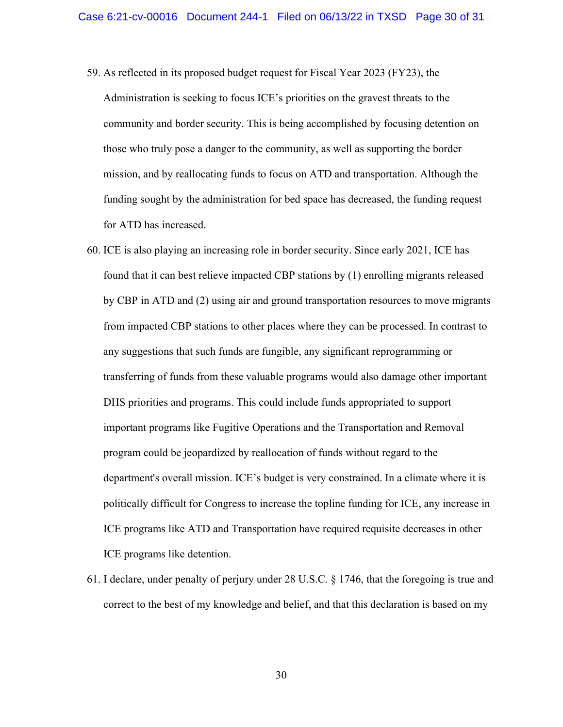59. As reflected in its proposed budget request for Fiscal Year 2023 (FY23), the

Administration is seeking to focus ICE's priorities on the gravest threats to the community and border security. This is being accomplished by focusing detention on those who truly pose a danger to the community, as well as supporting the border mission, and by reallocating funds to focus on ATD and transportation. Although the funding sought by the administration for bed space has decreased, the funding request for ATD has increased.

- 60. ICE is also playing an increasing role in border security. Since early 2021, ICE has found that it can best relieve impacted CBP stations by (1) enrolling migrants released by CBP in ATD and (2) using air and ground transportation resources to move migrants from impacted CBP stations to other places where they can be processed. In contrast to any suggestions that such funds are fungible, any significant reprogramming or transferring of funds from these valuable programs would also damage other important DHS priorities and programs. This could include funds appropriated to support important programs like Fugitive Operations and the Transportation and Removal program could be jeopardized by reallocation of funds without regard to the department's overall mission. ICE's budget is very constrained. In a climate where it is politically difficult for Congress to increase the topline funding for ICE, any increase in ICE programs like ATD and Transportation have required requisite decreases in other ICE programs like detention.
- 61. I declare, under penalty of perjury under 28 U.S.C. § 1746, that the foregoing is true and correct to the best of my knowledge and belief, and that this declaration is based on my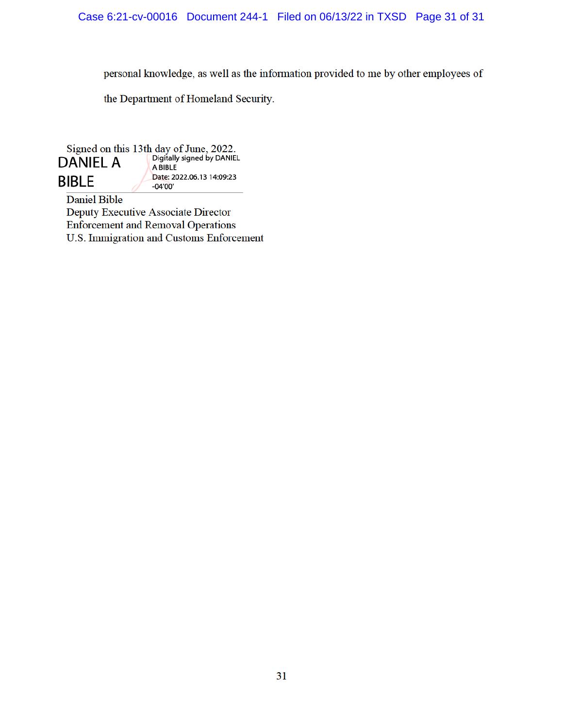personal knowledge, as well as the information provided to me by other employees of

the Department of Homeland Security.

Signed on this 13th day of June, 2022.<br> **DANIEL A Digitally signed by DANIEL DANIEL A** Date: 2022.06.13 14:09:23 **BIBLE**  $-04'00'$ 

**Daniel Bible** Deputy Executive Associate Director **Enforcement and Removal Operations** U.S. Immigration and Customs Enforcement